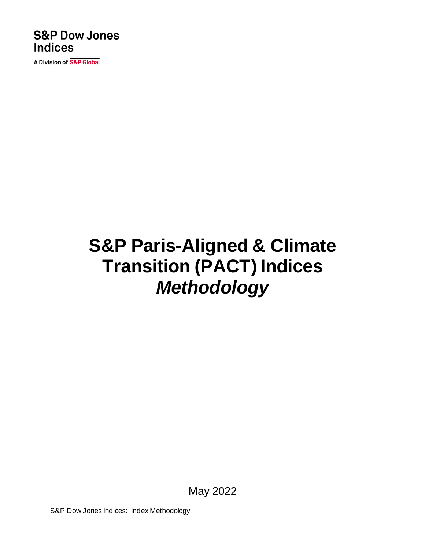### **S&P Dow Jones Indices**

A Division of S&P Global

# **S&P Paris-Aligned & Climate Transition (PACT) Indices** *Methodology*

May 2022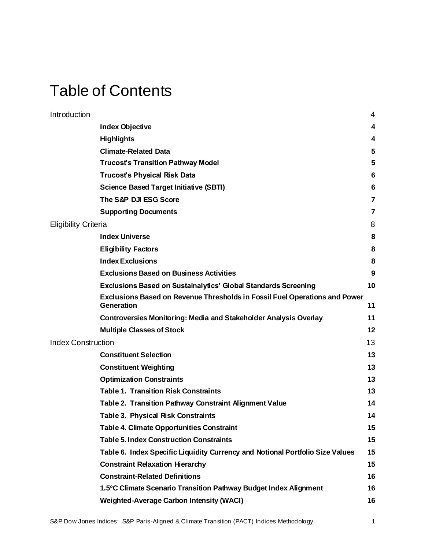### Table of Contents

| Introduction              |                                                                                                 | 4  |
|---------------------------|-------------------------------------------------------------------------------------------------|----|
|                           | <b>Index Objective</b>                                                                          | 4  |
|                           | <b>Highlights</b>                                                                               | 4  |
|                           | <b>Climate-Related Data</b>                                                                     | 5  |
|                           | <b>Trucost's Transition Pathway Model</b>                                                       | 5  |
|                           | <b>Trucost's Physical Risk Data</b>                                                             | 6  |
|                           | <b>Science Based Target Initiative (SBTI)</b>                                                   | 6  |
|                           | The S&P DJI ESG Score                                                                           | 7  |
|                           | <b>Supporting Documents</b>                                                                     | 7  |
| Eligibility Criteria      |                                                                                                 | 8  |
|                           | <b>Index Universe</b>                                                                           | 8  |
|                           | <b>Eligibility Factors</b>                                                                      | 8  |
|                           | <b>Index Exclusions</b>                                                                         | 8  |
|                           | <b>Exclusions Based on Business Activities</b>                                                  | 9  |
|                           | Exclusions Based on Sustainalytics' Global Standards Screening                                  | 10 |
|                           | Exclusions Based on Revenue Thresholds in Fossil Fuel Operations and Power<br><b>Generation</b> | 11 |
|                           | <b>Controversies Monitoring: Media and Stakeholder Analysis Overlay</b>                         | 11 |
|                           | <b>Multiple Classes of Stock</b>                                                                | 12 |
| <b>Index Construction</b> |                                                                                                 | 13 |
|                           | <b>Constituent Selection</b>                                                                    | 13 |
|                           | <b>Constituent Weighting</b>                                                                    | 13 |
|                           | <b>Optimization Constraints</b>                                                                 | 13 |
|                           | <b>Table 1. Transition Risk Constraints</b>                                                     | 13 |
|                           | Table 2. Transition Pathway Constraint Alignment Value                                          | 14 |
|                           | <b>Table 3. Physical Risk Constraints</b>                                                       | 14 |
|                           | <b>Table 4. Climate Opportunities Constraint</b>                                                | 15 |
|                           | <b>Table 5. Index Construction Constraints</b>                                                  | 15 |
|                           | Table 6. Index Specific Liquidity Currency and Notional Portfolio Size Values                   | 15 |
|                           | <b>Constraint Relaxation Hierarchy</b>                                                          | 15 |
|                           | <b>Constraint-Related Definitions</b>                                                           | 16 |
|                           | 1.5°C Climate Scenario Transition Pathway Budget Index Alignment                                | 16 |
|                           | <b>Weighted-Average Carbon Intensity (WACI)</b>                                                 | 16 |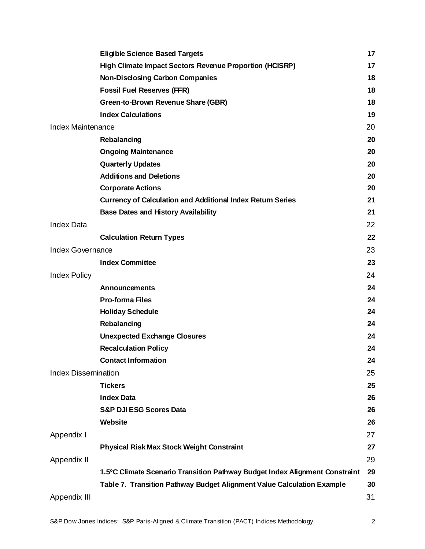|                            | <b>Eligible Science Based Targets</b>                                       | 17 |
|----------------------------|-----------------------------------------------------------------------------|----|
|                            | High Climate Impact Sectors Revenue Proportion (HCISRP)                     | 17 |
|                            | <b>Non-Disclosing Carbon Companies</b>                                      | 18 |
|                            | <b>Fossil Fuel Reserves (FFR)</b>                                           | 18 |
|                            | Green-to-Brown Revenue Share (GBR)                                          | 18 |
|                            | <b>Index Calculations</b>                                                   | 19 |
| <b>Index Maintenance</b>   |                                                                             | 20 |
|                            | Rebalancing                                                                 | 20 |
|                            | <b>Ongoing Maintenance</b>                                                  | 20 |
|                            | <b>Quarterly Updates</b>                                                    | 20 |
|                            | <b>Additions and Deletions</b>                                              | 20 |
|                            | <b>Corporate Actions</b>                                                    | 20 |
|                            | <b>Currency of Calculation and Additional Index Return Series</b>           | 21 |
|                            | <b>Base Dates and History Availability</b>                                  | 21 |
| <b>Index Data</b>          |                                                                             | 22 |
|                            | <b>Calculation Return Types</b>                                             | 22 |
| Index Governance           |                                                                             | 23 |
|                            | <b>Index Committee</b>                                                      | 23 |
| <b>Index Policy</b>        |                                                                             | 24 |
|                            | <b>Announcements</b>                                                        | 24 |
|                            | <b>Pro-forma Files</b>                                                      | 24 |
|                            | <b>Holiday Schedule</b>                                                     | 24 |
|                            | Rebalancing                                                                 | 24 |
|                            | <b>Unexpected Exchange Closures</b>                                         | 24 |
|                            | <b>Recalculation Policy</b>                                                 | 24 |
|                            | <b>Contact Information</b>                                                  | 24 |
| <b>Index Dissemination</b> |                                                                             | 25 |
|                            | <b>Tickers</b>                                                              | 25 |
|                            | <b>Index Data</b>                                                           | 26 |
|                            | <b>S&amp;P DJI ESG Scores Data</b>                                          | 26 |
|                            | Website                                                                     | 26 |
| Appendix I                 |                                                                             | 27 |
|                            | <b>Physical Risk Max Stock Weight Constraint</b>                            | 27 |
| Appendix II                |                                                                             | 29 |
|                            | 1.5°C Climate Scenario Transition Pathway Budget Index Alignment Constraint | 29 |
|                            | Table 7. Transition Pathway Budget Alignment Value Calculation Example      | 30 |
| Appendix III               |                                                                             | 31 |
|                            |                                                                             |    |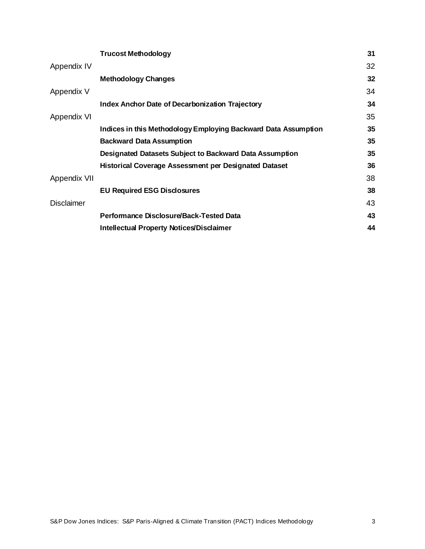|                   | <b>Trucost Methodology</b>                                     | 31 |
|-------------------|----------------------------------------------------------------|----|
| Appendix IV       |                                                                | 32 |
|                   | <b>Methodology Changes</b>                                     | 32 |
| Appendix V        |                                                                | 34 |
|                   | <b>Index Anchor Date of Decarbonization Trajectory</b>         | 34 |
| Appendix VI       |                                                                | 35 |
|                   | Indices in this Methodology Employing Backward Data Assumption | 35 |
|                   | <b>Backward Data Assumption</b>                                | 35 |
|                   | Designated Datasets Subject to Backward Data Assumption        | 35 |
|                   | Historical Coverage Assessment per Designated Dataset          | 36 |
| Appendix VII      |                                                                | 38 |
|                   | <b>EU Required ESG Disclosures</b>                             | 38 |
| <b>Disclaimer</b> |                                                                | 43 |
|                   | Performance Disclosure/Back-Tested Data                        | 43 |
|                   | <b>Intellectual Property Notices/Disclaimer</b>                | 44 |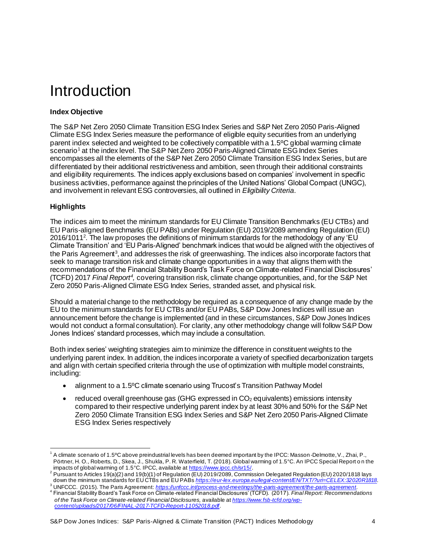### <span id="page-4-0"></span>Introduction

### <span id="page-4-1"></span>**Index Objective**

The S&P Net Zero 2050 Climate Transition ESG Index Series and S&P Net Zero 2050 Paris-Aligned Climate ESG Index Series measure the performance of eligible equity securities from an underlying parent index selected and weighted to be collectively compatible with a 1.5ºC global warming climate scenario<sup>1</sup> at the index level. The S&P Net Zero 2050 Paris-Aligned Climate ESG Index Series encompasses all the elements of the S&P Net Zero 2050 Climate Transition ESG Index Series, but are differentiated by their additional restrictiveness and ambition, seen through their additional constraints and eligibility requirements. The indices apply exclusions based on companies' involvement in specific business activities, performance against the principles of the United Nations' Global Compact (UNGC), and involvement in relevant ESG controversies, all outlined in *Eligibility Criteria*.

### <span id="page-4-2"></span>**Highlights**

The indices aim to meet the minimum standards for EU Climate Transition Benchmarks (EU CTBs) and EU Paris-aligned Benchmarks (EU PABs) under Regulation (EU) 2019/2089 amending Regulation (EU) 2016/1011<sup>2</sup>. The law proposes the definitions of minimum standards for the methodology of any 'EU Climate Transition' and 'EU Paris-Aligned' benchmark indices that would be aligned with the objectives of the Paris Agreement<sup>3</sup>, and addresses the risk of greenwashing. The indices also incorporate factors that seek to manage transition risk and climate change opportunities in a way that aligns them with the recommendations of the Financial Stability Board's Task Force on Climate-related Financial Disclosures' (TCFD) 2017 Final Report<sup>4</sup>, covering transition risk, climate change opportunities, and, for the S&P Net Zero 2050 Paris-Aligned Climate ESG Index Series, stranded asset, and physical risk.

Should a material change to the methodology be required as a consequence of any change made by the EU to the minimum standards for EU CTBs and/or EU PABs, S&P Dow Jones Indices will issue an announcement before the change is implemented (and in these circumstances, S&P Dow Jones Indices would not conduct a formal consultation). For clarity, any other methodology change will follow S&P Dow Jones Indices' standard processes, which may include a consultation.

Both index series' weighting strategies aim to minimize the difference in constituent weights to the underlying parent index. In addition, the indices incorporate a variety of specified decarbonization targets and align with certain specified criteria through the use of optimization with multiple model constraints, including:

- alignment to a 1.5°C climate scenario using Trucost's Transition Pathway Model
- reduced overall greenhouse gas (GHG expressed in  $CO<sub>2</sub>$  equivalents) emissions intensity compared to their respective underlying parent index by at least 30% and 50% for the S&P Net Zero 2050 Climate Transition ESG Index Series and S&P Net Zero 2050 Paris-Aligned Climate ESG Index Series respectively

*[content/uploads/2017/06/FINAL-2017-TCFD-Report-11052018.pdf](https://www.fsb-tcfd.org/wp-content/uploads/2017/06/FINAL-2017-TCFD-Report-11052018.pdf)*.

<sup>1</sup> A climate scenario of 1.5ºC above preindustrial levels has been deemed important by the IPCC: Masson -Delmotte, V., Zhai, P., Pörtner, H. O., Roberts, D., Skea, J., Shukla, P. R. Waterfield, T. (2018). Global warming of 1.5°C. An IPCC Special Report o n the impacts of global warming of 1.5°C. IPCC, available a[t https://www.ipcc.ch/sr15/](https://www.ipcc.ch/sr15/).

 $^2$  Pursuant to Articles 19(a)(2) and 19(b)(1) of Regulation (EU) 2019/2089, Commission Delegated Regulation (EU) 2020/1818 lays down the minimum standards for EU CTBs and EU PABs *<https://eur-lex.europa.eu/legal-content/EN/TXT/?uri=CELEX:32020R1818>*.

<sup>&</sup>lt;sup>3</sup> UNFCCC. (2015). The Paris Agreement: <u><https://unfccc.int/process-and-meetings/the-paris-agreement/the-paris-agreement>.<br><sup>4</sup> Financial Stability Board's Task Force on Climate-related Financial Disclosures' (TCFD). (2017)</u> *of the Task Force on Climate-related Financial Disclosures,* available at *[https://www.fsb-tcfd.org/wp-](https://www.fsb-tcfd.org/wp-content/uploads/2017/06/FINAL-2017-TCFD-Report-11052018.pdf)*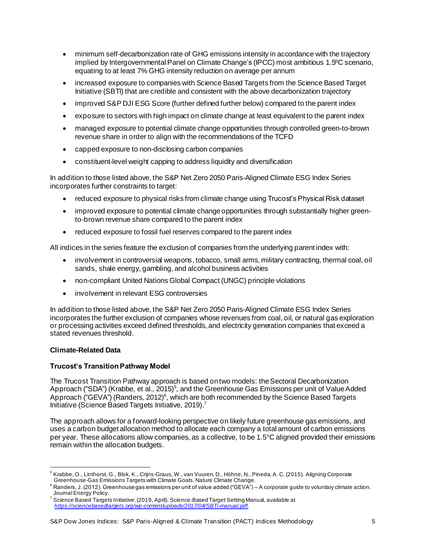- minimum self-decarbonization rate of GHG emissions intensity in accordance with the trajectory implied by Intergovernmental Panel on Climate Change's (IPCC) most ambitious 1.5ºC scenario, equating to at least 7% GHG intensity reduction on average per annum
- increased exposure to companies with Science Based Targets from the Science Based Target Initiative (SBTI) that are credible and consistent with the above decarbonization trajectory
- improved S&P DJI ESG Score (further defined further below) compared to the parent index
- exposure to sectors with high impact on climate change at least equivalent to the parent index
- managed exposure to potential climate change opportunities through controlled green-to-brown revenue share in order to align with the recommendations of the TCFD
- capped exposure to non-disclosing carbon companies
- constituent-level weight capping to address liquidity and diversification

In addition to those listed above, the S&P Net Zero 2050 Paris-Aligned Climate ESG Index Series incorporates further constraints to target:

- reduced exposure to physical risks from climate change using Trucost's Physical Risk dataset
- improved exposure to potential climate change opportunities through substantially higher greento-brown revenue share compared to the parent index
- reduced exposure to fossil fuel reserves compared to the parent index

All indices in the series feature the exclusion of companies from the underlying parent index with:

- involvement in controversial weapons, tobacco, small arms, military contracting, thermal coal, oil sands, shale energy, gambling, and alcohol business activities
- non-compliant United Nations Global Compact (UNGC) principle violations
- involvement in relevant ESG controversies

In addition to those listed above, the S&P Net Zero 2050 Paris-Aligned Climate ESG Index Series incorporates the further exclusion of companies whose revenues from coal, oil, or natural gas exploration or processing activities exceed defined thresholds, and electricity generation companies that exceed a stated revenues threshold.

### <span id="page-5-0"></span>**Climate-Related Data**

### <span id="page-5-1"></span>**Trucost's Transition Pathway Model**

The Trucost Transition Pathway approach is based on two models: the Sectoral Decarbonization Approach ("SDA") (Krabbe, et al., 2015)<sup>5</sup>, and the Greenhouse Gas Emissions per unit of Value Added Approach ("GEVA") (Randers, 2012)<sup>6</sup>, which are both recommended by the Science Based Targets Initiative (Science Based Targets Initiative, 2019). 7

The approach allows for a forward-looking perspective on likely future greenhouse gas emissions, and uses a carbon budget allocation method to allocate each company a total amount of carbon emissions per year. These allocations allow companies, as a collective, to be 1.5°C aligned provided their emissions remain within the allocation budgets.

<sup>&</sup>lt;sup>5</sup> Krabbe, O., Linthorst, G., Blok, K., Crijns-Graus, W., van Vuuren, D., Höhne, N., Pineda, A. C. (2015). Aligning Corporate Greenhouse-Gas Emissions Targets with Climate Goals. Nature Climate Change.

<sup>6</sup> Randers, J. (2012). Greenhouse gas emissions per unit of value added ("GEVA") – A corporate guide to voluntary climate action. Journal Energy Policy.

<sup>7</sup> Science Based Targets Initiative. (2019, April). Science-Based Target Setting Manual, available at *[https://sciencebasedtargets.org/wp-content/uploads/2017/04/SBTi-manual.pd](https://sciencebasedtargets.org/wp-content/uploads/2017/04/SBTi-manual.pdf)*f.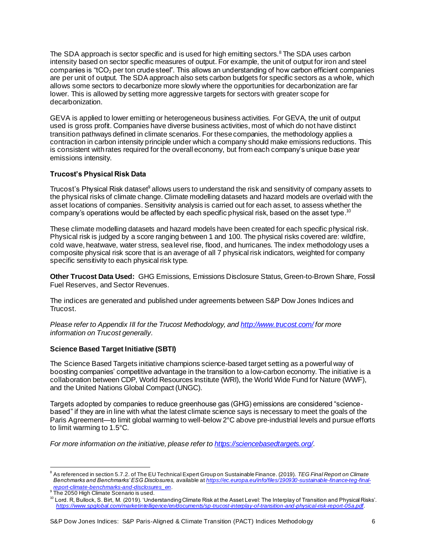The SDA approach is sector specific and is used for high emitting sectors.<sup>8</sup> The SDA uses carbon intensity based on sector specific measures of output. For example, the unit of output for iron and steel companies is " $tCO<sub>2</sub>$  per ton crude steel". This allows an understanding of how carbon efficient companies are per unit of output. The SDA approach also sets carbon budgets for specific sectors as a whole, which allows some sectors to decarbonize more slowly where the opportunities for decarbonization are far lower. This is allowed by setting more aggressive targets for sectors with greater scope for decarbonization.

GEVA is applied to lower emitting or heterogeneous business activities. For GEVA, the unit of output used is gross profit. Companies have diverse business activities, most of which do not have distinct transition pathways defined in climate scenarios. For these companies, the methodology applies a contraction in carbon intensity principle under which a company should make emissions reductions. This is consistent with rates required for the overall economy, but from each company's unique base year emissions intensity.

### <span id="page-6-0"></span>**Trucost's Physical Risk Data**

Trucost's Physical Risk dataset<sup>9</sup> allows users to understand the risk and sensitivity of company assets to the physical risks of climate change. Climate modelling datasets and hazard models are overlaid with the asset locations of companies. Sensitivity analysis is carried out for each asset, to assess whether the company's operations would be affected by each specific physical risk, based on the asset type. $^{10}$ 

These climate modelling datasets and hazard models have been created for each specific physical risk. Physical risk is judged by a score ranging between 1 and 100. The physical risks covered are: wildfire, cold wave, heatwave, water stress, sea level rise, flood, and hurricanes. The index methodology uses a composite physical risk score that is an average of all 7 physical risk indicators, weighted for company specific sensitivity to each physical risk type.

**Other Trucost Data Used:** GHG Emissions, Emissions Disclosure Status, Green-to-Brown Share, Fossil Fuel Reserves, and Sector Revenues.

The indices are generated and published under agreements between S&P Dow Jones Indices and Trucost.

*Please refer to Appendix III for the Trucost Methodology, an[d http://www.trucost.com/](http://www.trucost.com/) for more information on Trucost generally.*

### <span id="page-6-1"></span>**Science Based Target Initiative (SBTI)**

The Science Based Targets initiative champions science-based target setting as a powerful way of boosting companies' competitive advantage in the transition to a low-carbon economy. The initiative is a collaboration between CDP, World Resources Institute (WRI), the World Wide Fund for Nature (WWF), and the United Nations Global Compact (UNGC).

Targets adopted by companies to reduce greenhouse gas (GHG) emissions are considered "sciencebased" if they are in line with what the latest climate science says is necessary to meet the goals of the Paris Agreement—to limit global warming to well-below 2°C above pre-industrial levels and pursue efforts to limit warming to 1.5°C.

*For more information on the initiative, please refer t[o https://sciencebasedtargets.org/](https://sciencebasedtargets.org/)*.

<sup>8</sup> As referenced in section 5.7.2. of The EU Technical Expert Group on Sustainable Finance. (2019). *TEG Final Report on Climate Benchmarks and Benchmarks' ESG Disclosures,* available at *[https://ec.europa.eu/info/files/190930-sustainable-finance-teg-final-](https://ec.europa.eu/info/files/190930-sustainable-finance-teg-final-report-climate-benchmarks-and-disclosures_en)*

*[report-climate-benchmarks-and-disclosures\\_en](https://ec.europa.eu/info/files/190930-sustainable-finance-teg-final-report-climate-benchmarks-and-disclosures_en)*. 9 The 2050 High Climate Scenario is used.

 $^{\rm 10}$  Lord. R, Bullock, S. Birt, M. (2019). 'Understanding Climate Risk at the Asset Level: The Interplay of Transition and Physical Risks'. *<https://www.spglobal.com/marketintelligence/en/documents/sp-trucost-interplay-of-transition-and-physical-risk-report-05a.pdf>*.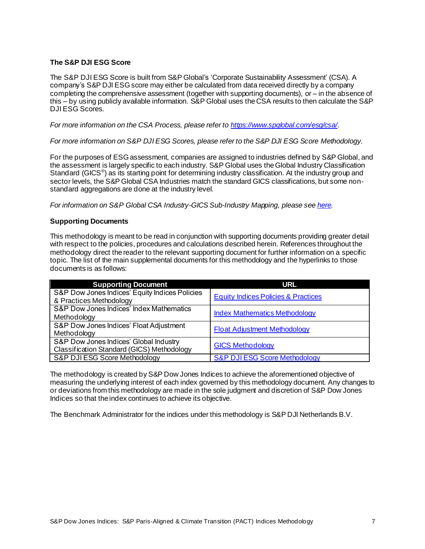### <span id="page-7-0"></span>**The S&P DJI ESG Score**

The S&P DJI ESG Score is built from S&P Global's 'Corporate Sustainability Assessment' (CSA). A company's S&P DJI ESGscore may either be calculated from data received directly by a company completing the comprehensive assessment (together with supporting documents), or – in the absence of this – by using publicly available information. S&P Global uses theCSA results to then calculate the S&P DJI ESG Scores.

*For more information on the CSA Process, please refer t[o https://www.spglobal.com/esg/csa/](https://www.spglobal.com/esg/csa/)*.

*For more information on S&P DJI ESG Scores, please refer to the S&P DJI ESG Score Methodology*.

For the purposes of ESG assessment, companies are assigned to industries defined by S&P Global, and the assessment is largely specific to each industry. S&P Global uses the Global Industry Classification Standard (GICS<sup>®</sup>) as its starting point for determining industry classification. At the industry group and sector levels, the S&P Global CSA Industries match the standard GICS classifications, but some nonstandard aggregations are done at the industry level.

<span id="page-7-1"></span>*For information on S&P Global CSA Industry-GICS Sub-Industry Mapping, please se[e here](https://www.spglobal.com/spdji/en/documents/index-policies/sp-global-csa-industry-gics-sub-industry-mapping.pdf).*

### **Supporting Documents**

This methodology is meant to be read in conjunction with supporting documents providing greater detail with respect to the policies, procedures and calculations described herein. References throughout the methodology direct the reader to the relevant supporting document for further information on a specific topic. The list of the main supplemental documents for this methodology and the hyperlinks to those documents is as follows:

| <b>Supporting Document</b>                     | URL                                            |
|------------------------------------------------|------------------------------------------------|
| S&P Dow Jones Indices' Equity Indices Policies | <b>Equity Indices Policies &amp; Practices</b> |
| & Practices Methodology                        |                                                |
| S&P Dow Jones Indices' Index Mathematics       |                                                |
| Methodology                                    | <b>Index Mathematics Methodology</b>           |
| S&P Dow Jones Indices' Float Adjustment        |                                                |
| Methodology                                    | <b>Float Adjustment Methodology</b>            |
| S&P Dow Jones Indices' Global Industry         |                                                |
| Classification Standard (GICS) Methodology     | <b>GICS Methodology</b>                        |
| S&P DJI ESG Score Methodology                  | <b>S&amp;P DJIESG Score Methodology</b>        |

The methodology is created by S&P Dow Jones Indices to achieve the aforementioned objective of measuring the underlying interest of each index governed by this methodology document. Any changes to or deviations from this methodology are made in the sole judgment and discretion of S&P Dow Jones Indices so that the index continues to achieve its objective.

The Benchmark Administrator for the indices under this methodology is S&P DJI Netherlands B.V.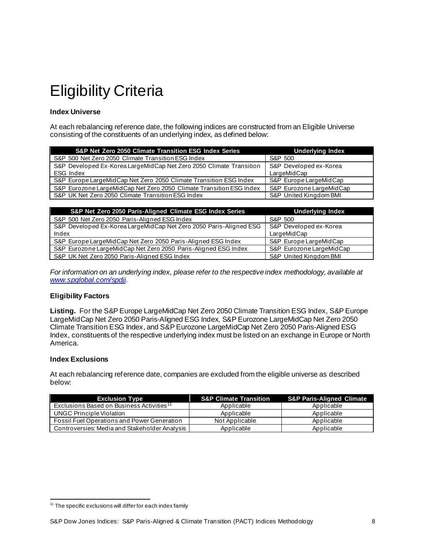## <span id="page-8-0"></span>Eligibility Criteria

### <span id="page-8-1"></span>**Index Universe**

At each rebalancing reference date, the following indices are constructed from an Eligible Universe consisting of the constituents of an underlying index, as defined below:

| S&P Net Zero 2050 Climate Transition ESG Index Series                 | Underlying Index         |
|-----------------------------------------------------------------------|--------------------------|
| S&P 500 Net Zero 2050 Climate Transition ESG Index                    | S&P 500                  |
| S&P Developed Ex-Korea LargeMidCap Net Zero 2050 Climate Transition   | S&P Developed ex-Korea   |
| ESG Index                                                             | LargeMidCap              |
| S&P Europe LargeMidCap Net Zero 2050 Climate Transition ESG Index     | S&P Europe LargeMidCap   |
| S&P Eurozone Large Mid Cap Net Zero 2050 Climate Transition ESG Index | S&P Eurozone LargeMidCap |
| S&P UK Net Zero 2050 Climate Transition ESG Index                     | S&P United Kingdom BMI   |

| S&P Net Zero 2050 Paris-Aligned Climate ESG Index Series           | <b>Underlying Index</b>  |
|--------------------------------------------------------------------|--------------------------|
| S&P 500 Net Zero 2050 Paris-Aligned ESG Index                      | S&P 500                  |
| S&P Developed Ex-Korea LargeMidCap Net Zero 2050 Paris-Aligned ESG | S&P Developed ex-Korea   |
| Index                                                              | LargeMidCap              |
| S&P Europe LargeMidCap Net Zero 2050 Paris-Aligned ESG Index       | S&P Europe LargeMidCap   |
| S&P Eurozone LargeMidCap Net Zero 2050 Paris-Aligned ESG Index     | S&P Eurozone LargeMidCap |
| S&P UK Net Zero 2050 Paris-Aligned ESG Index                       | S&P United Kingdom BMI   |

*For information on an underlying index, please refer to the respective index methodology, available at [www.spglobal.com/spdji](https://www.spglobal.com/spdji)*.

### <span id="page-8-2"></span>**Eligibility Factors**

**Listing.** For the S&P Europe LargeMidCap Net Zero 2050 Climate Transition ESG Index, S&P Europe LargeMidCap Net Zero 2050 Paris-Aligned ESG Index, S&P Eurozone LargeMidCap Net Zero 2050 Climate Transition ESG Index, and S&P Eurozone LargeMidCap Net Zero 2050 Paris-Aligned ESG Index, constituents of the respective underlying index must be listed on an exchange in Europe or North America.

### <span id="page-8-3"></span>**Index Exclusions**

At each rebalancing reference date, companies are excluded from the eligible universe as described below:

| <b>Exclusion Type</b>                                 | <b>S&amp;P Climate Transition</b> | <b>S&amp;P Paris-Aligned Climate</b> |
|-------------------------------------------------------|-----------------------------------|--------------------------------------|
| Exclusions Based on Business Activities <sup>11</sup> | Applicable                        | Applicable                           |
| UNGC Principle Violation                              | Applicable                        | Applicable                           |
| Fossil Fuel Operations and Power Generation           | Not Applicable                    | Applicable                           |
| Controversies: Media and Stakeholder Analysis         | Applicable                        | Applicable                           |

 $11$  The specific exclusions will differ for each index family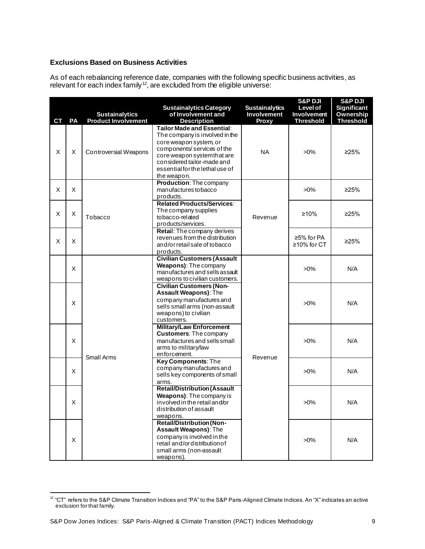### <span id="page-9-0"></span>**Exclusions Based on Business Activities**

As of each rebalancing reference date, companies with the following specific business activities, as relevant for each index family<sup>12</sup>, are excluded from the eligible universe:

| СT | PA | <b>Sustainalytics</b><br><b>Product Involvement</b> | <b>Sustainalytics Category</b><br>of Involvement and<br><b>Description</b>                                                                                                                                                          | <b>Sustainalytics</b><br><b>Involvement</b><br>Proxy | <b>S&amp;P DJI</b><br><b>Level of</b><br><b>Involvement</b><br><b>Threshold</b> | <b>S&amp;P DJI</b><br>Significant<br>Ownership<br><b>Threshold</b> |
|----|----|-----------------------------------------------------|-------------------------------------------------------------------------------------------------------------------------------------------------------------------------------------------------------------------------------------|------------------------------------------------------|---------------------------------------------------------------------------------|--------------------------------------------------------------------|
| X  | X  | Controversial Weapons                               | Tailor Made and Essential:<br>The company is involved in the<br>core weapon system, or<br>components/services of the<br>core weapon system that are<br>considered tailor-made and<br>essential for the lethal use of<br>the weapon. | <b>NA</b>                                            | $>0\%$                                                                          | 225%                                                               |
| X  | X  |                                                     | <b>Production: The company</b><br>manufactures to bacco<br>products.                                                                                                                                                                |                                                      | $>0\%$                                                                          | >25%                                                               |
| X  | X  | Tobacco                                             | <b>Related Products/Services:</b><br>The company supplies<br>tobacco-related<br>products/services.                                                                                                                                  | Revenue                                              | ≥10%                                                                            | ≥25%                                                               |
| X  | X  |                                                     | Retail: The company derives<br>revenues from the distribution<br>and/or retail sale of tobacco<br>products.                                                                                                                         |                                                      | ≥5% for $PA$<br>$\geq$ 10% for CT                                               | 225%                                                               |
|    | X  |                                                     | <b>Civilian Customers (Assault</b><br>Weapons): The company<br>manufactures and sells assault<br>weapons to civilian customers.                                                                                                     |                                                      | $>0\%$                                                                          | N/A                                                                |
|    | X  |                                                     | <b>Civilian Customers (Non-</b><br>Assault Weapons): The<br>company manufactures and<br>sells small arms (non-assault<br>weapons) to civilian<br>customers.                                                                         |                                                      | $>0\%$                                                                          | N/A                                                                |
|    | X  | <b>Small Arms</b>                                   | <b>Military/Law Enforcement</b><br><b>Customers: The company</b><br>manufactures and sells small<br>arms to military/law<br>enforcement.                                                                                            | Revenue                                              | $>0\%$                                                                          | N/A                                                                |
|    | X  |                                                     | <b>Key Components: The</b><br>company manufactures and<br>sells key components of small<br>arms.                                                                                                                                    |                                                      | $>0\%$                                                                          | N/A                                                                |
|    | X  |                                                     | <b>Retail/Distribution (Assault</b><br>Weapons): The company is<br>involved in the retail and/or<br>distribution of assault<br>weapons.                                                                                             |                                                      | $>0\%$                                                                          | N/A                                                                |
|    | X  |                                                     | <b>Retail/Distribution (Non-</b><br>Assault Weapons): The<br>company is involved in the<br>retail and/ordistribution of<br>small arms (non-assault<br>weapons).                                                                     |                                                      | $>0\%$                                                                          | N/A                                                                |

<sup>12</sup> "CT" refers to the S&P Climate Transition Indices and "PA" to the S&P Paris-Aligned Climate Indices. An "X" indicates an active exclusion for that family.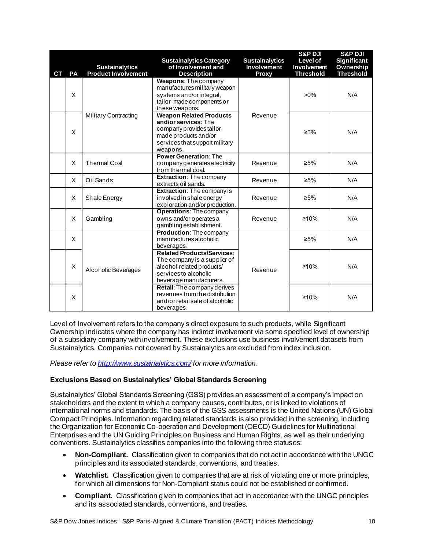| <b>CT</b> | PA | <b>Sustainalytics</b><br><b>Product Involvement</b> | <b>Sustainalytics Category</b><br>of Involvement and<br><b>Description</b>                                                                               | <b>Sustainalytics</b><br>Involvement<br>Proxy | <b>S&amp;P DJI</b><br><b>Level of</b><br><b>Involvement</b><br><b>Threshold</b> | <b>S&amp;P DJI</b><br>Significant<br>Ownership<br><b>Threshold</b> |
|-----------|----|-----------------------------------------------------|----------------------------------------------------------------------------------------------------------------------------------------------------------|-----------------------------------------------|---------------------------------------------------------------------------------|--------------------------------------------------------------------|
|           | X  |                                                     | Weapons: The company<br>manufactures military weapon<br>systems and/or integral,<br>tailor-made components or<br>these weapons.                          |                                               | $>0\%$                                                                          | N/A                                                                |
|           | X  | <b>Military Contracting</b>                         | <b>Weapon Related Products</b><br>and/or services: The<br>company provides tailor-<br>made products and/or<br>services that support military<br>weapons. | Revenue                                       | $\geq 5\%$                                                                      | N/A                                                                |
|           | X  | <b>Thermal Coal</b>                                 | <b>Power Generation: The</b><br>company generates electricity<br>from thermal coal.                                                                      | Revenue                                       | $≥5%$                                                                           | N/A                                                                |
|           | X  | Oil Sands                                           | <b>Extraction:</b> The company<br>extracts oil sands.                                                                                                    | Revenue                                       | $\geq 5\%$                                                                      | N/A                                                                |
|           | X  | Shale Energy                                        | <b>Extraction:</b> The company is<br>involved in shale energy<br>exploration and/or production.                                                          | Revenue                                       | $≥5%$                                                                           | N/A                                                                |
|           | X  | Gambling                                            | <b>Operations: The company</b><br>owns and/or operates a<br>gambling establishment.                                                                      | Revenue                                       | ≥10%                                                                            | N/A                                                                |
|           | X  |                                                     | <b>Production: The company</b><br>manufactures alcoholic<br>beverages.                                                                                   |                                               | $\geq 5\%$                                                                      | N/A                                                                |
|           | Χ  | Alcoholic Beverages                                 | <b>Related Products/Services:</b><br>The company is a supplier of<br>alcohol-related products/<br>services to alcoholic<br>beverage manufacturers.       | Revenue                                       | ≥10%                                                                            | N/A                                                                |
|           | X  |                                                     | Retail: The company derives<br>revenues from the distribution<br>and/or retail sale of alcoholic<br>beverages.                                           |                                               | ≥10%                                                                            | N/A                                                                |

Level of Involvement refers to the company's direct exposure to such products, while Significant Ownership indicates where the company has indirect involvement via some specified level of ownership of a subsidiary company with involvement. These exclusions use business involvement datasets from Sustainalytics. Companies not covered by Sustainalytics are excluded from index inclusion.

*Please refer t[o http://www.sustainalytics.com/](http://www.sustainalytics.com/) for more information.* 

### <span id="page-10-0"></span>**Exclusions Based on Sustainalytics' Global Standards Screening**

Sustainalytics' Global Standards Screening (GSS) provides an assessment of a company's impact on stakeholders and the extent to which a company causes, contributes, or is linked to violations of international norms and standards. The basis of the GSS assessments is the United Nations (UN) Global Compact Principles. Information regarding related standards is also provided in the screening, including the Organization for Economic Co-operation and Development (OECD) Guidelines for Multinational Enterprises and the UN Guiding Principles on Business and Human Rights, as well as their underlying conventions. Sustainalytics classifies companies into the following three statuses:

- **Non-Compliant.** Classification given to companies that do not act in accordance with the UNGC principles and its associated standards, conventions, and treaties.
- **Watchlist.** Classification given to companies that are at risk of violating one or more principles, for which all dimensions for Non-Compliant status could not be established or confirmed.
- **Compliant.** Classification given to companies that act in accordance with the UNGC principles and its associated standards, conventions, and treaties.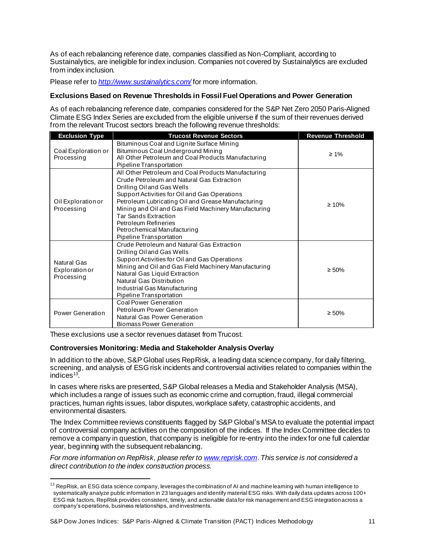As of each rebalancing reference date, companies classified as Non-Compliant, according to Sustainalytics, are ineligible for index inclusion. Companies not covered by Sustainalytics are excluded from index inclusion.

Please refer to *<http://www.sustainalytics.com/>* for more information.

### <span id="page-11-0"></span>**Exclusions Based on Revenue Thresholds in Fossil Fuel Operations and Power Generation**

As of each rebalancing reference date, companies considered for the S&P Net Zero 2050 Paris-Aligned Climate ESG Index Series are excluded from the eligible universe if the sum of their revenues derived from the relevant Trucost sectors breach the following revenue thresholds:

| <b>Exclusion Type</b>                              | <b>Trucost Revenue Sectors</b>                                                                                                                                                                                                                                                                                                                                                                                        | <b>Revenue Threshold</b> |
|----------------------------------------------------|-----------------------------------------------------------------------------------------------------------------------------------------------------------------------------------------------------------------------------------------------------------------------------------------------------------------------------------------------------------------------------------------------------------------------|--------------------------|
| Coal Exploration or<br>Processing                  | Bituminous Coal and Lignite Surface Mining<br>Bituminous Coal Underground Mining<br>All Other Petroleum and Coal Products Manufacturing<br>Pipeline Transportation                                                                                                                                                                                                                                                    | $\geq 1\%$               |
| Oil Exploration or<br>Processing                   | All Other Petroleum and Coal Products Manufacturing<br>Crude Petroleum and Natural Gas Extraction<br>Drilling Oiland Gas Wells<br>Support Activities for Oil and Gas Operations<br>Petroleum Lubricating Oil and Grease Manufacturing<br>Mining and Oil and Gas Field Machinery Manufacturing<br><b>Tar Sands Extraction</b><br><b>Petroleum Refineries</b><br>Petrochemical Manufacturing<br>Pipeline Transportation | $\geq 10\%$              |
| <b>Natural Gas</b><br>Exploration or<br>Processing | Crude Petroleum and Natural Gas Extraction<br>Drilling Oiland Gas Wells<br>Support Activities for Oil and Gas Operations<br>Mining and Oil and Gas Field Machinery Manufacturing<br>Natural Gas Liquid Extraction<br>Natural Gas Distribution<br>Industrial Gas Manufacturing<br>Pipeline Transportation                                                                                                              | $\geq 50\%$              |
| Power Generation                                   | Coal Power Generation<br>Petroleum Power Generation<br>Natural Gas Power Generation<br><b>Biomass Power Generation</b>                                                                                                                                                                                                                                                                                                | $\geq 50\%$              |

These exclusions use a sector revenues dataset from Trucost.

### <span id="page-11-1"></span>**Controversies Monitoring: Media and Stakeholder Analysis Overlay**

In addition to the above, S&P Global uses RepRisk, a leading data science company, for daily filtering, screening, and analysis of ESG risk incidents and controversial activities related to companies within the indices $13$ .

In cases where risks are presented, S&P Global releases a Media and Stakeholder Analysis (MSA), which includes a range of issues such as economic crime and corruption, fraud, illegal commercial practices, human rights issues, labor disputes, workplace safety, catastrophic accidents, and environmental disasters.

The Index Committee reviews constituents flagged by S&P Global's MSA to evaluate the potential impact of controversial company activities on the composition of the indices. If the Index Committee decides to remove a company in question, that company is ineligible for re-entry into the index for one full calendar year, beginning with the subsequent rebalancing.

*For more information on RepRisk, please refer to [www.reprisk.com](http://www.reprisk.com/)*. *This service is not considered a direct contribution to the index construction process.*

 $^{13}$  RepRisk, an ESG data science company, leverages the combination of AI and machine learning with human intelligence to systematically analyze public information in 23 languages and identify material ESG risks. With daily data updates across 100+ ESG risk factors, RepRisk provides consistent, timely, and actionable data for risk management and ESG integration across a company's operations, business relationships, and investments.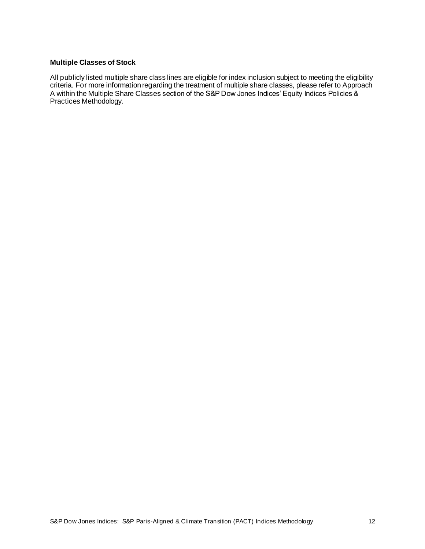### <span id="page-12-0"></span>**Multiple Classes of Stock**

All publicly listed multiple share class lines are eligible for index inclusion subject to meeting the eligibility criteria. For more information regarding the treatment of multiple share classes, please refer to Approach A within the Multiple Share Classes section of the S&P Dow Jones Indices' Equity Indices Policies & Practices Methodology.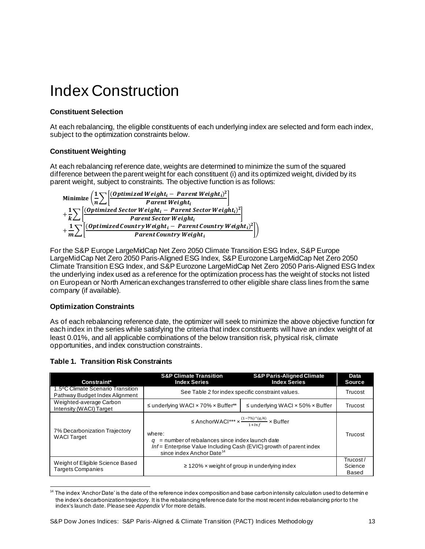### <span id="page-13-0"></span>Index Construction

### <span id="page-13-1"></span>**Constituent Selection**

At each rebalancing, the eligible constituents of each underlying index are selected and form each index, subject to the optimization constraints below.

### <span id="page-13-2"></span>**Constituent Weighting**

At each rebalancing reference date, weights are determined to minimize the sum of the squared difference between the parent weight for each constituent (i) and its optimized weight, divided by its parent weight, subject to constraints. The objective function is as follows:



For the S&P Europe LargeMidCap Net Zero 2050 Climate Transition ESG Index, S&P Europe LargeMidCap Net Zero 2050 Paris-Aligned ESG Index, S&P Eurozone LargeMidCap Net Zero 2050 Climate Transition ESG Index, and S&P Eurozone LargeMidCap Net Zero 2050 Paris-Aligned ESG Index the underlying index used as a reference for the optimization process has the weight of stocks not listed on European or North American exchanges transferred to other eligible share class lines from the same company (if available).

### <span id="page-13-3"></span>**Optimization Constraints**

As of each rebalancing reference date, the optimizer will seek to minimize the above objective function for each index in the series while satisfying the criteria that index constituents will have an index weight of at least 0.01%, and all applicable combinations of the below transition risk, physical risk, climate opportunities, and index construction constraints.

### <span id="page-13-4"></span>**Table 1. Transition Risk Constraints**

| Constraint*                                                                                                                                                                                                                                                                                                        | <b>S&amp;P Climate Transition</b><br><b>Index Series</b> | <b>S&amp;P Paris-Aligned Climate</b><br><b>Index Series</b> | Data<br><b>Source</b>         |  |         |
|--------------------------------------------------------------------------------------------------------------------------------------------------------------------------------------------------------------------------------------------------------------------------------------------------------------------|----------------------------------------------------------|-------------------------------------------------------------|-------------------------------|--|---------|
| 1.5°C Climate Scenario Transition<br>Pathway Budget Index Alignment                                                                                                                                                                                                                                                | See Table 2 for index specific constraint values.        |                                                             |                               |  | Trucost |
| Weighted-average Carbon<br>Intensity (WACI) Target                                                                                                                                                                                                                                                                 | $\leq$ underlying WACI $\times$ 70% $\times$ Buffer**    | $\leq$ underlying WACI $\times$ 50% $\times$ Buffer         | Trucost                       |  |         |
| ≤ AnchorWACI <sup>***</sup> × $\frac{(1-7\%)^{\wedge} (q/4)}{1+lnf}$ × Buffer<br>7% Decarbonization Trajectory<br>where:<br><b>WACI Target</b><br>$=$ number of rebalances since index launch date<br>Inf = Enterprise Value Including Cash (EVIC) growth of parent index<br>since index Anchor Date <sup>14</sup> |                                                          | Trucost                                                     |                               |  |         |
| Weight of Eligible Science Based<br><b>Targets Companies</b>                                                                                                                                                                                                                                                       | $\geq$ 120% x weight of group in underlying index        |                                                             | Trucost /<br>Science<br>Based |  |         |

 $14$  The index 'Anchor Date' is the date of the reference index composition and base carbon intensity calculation used to determin e the index's decarbonization trajectory. It is the rebalancing reference date for the most recent index rebalancing prior to t he index's launch date. Please see *Appendix V* for more details.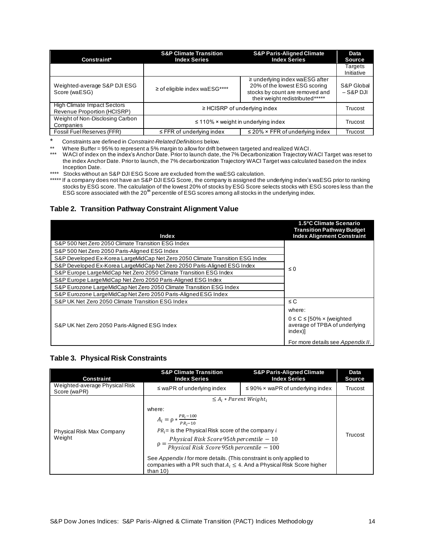| Constraint*                                                       | <b>S&amp;P Climate Transition</b><br><b>Index Series</b>                      | <b>S&amp;P Paris-Aligned Climate</b><br><b>Index Series</b>                                                                                |                           |
|-------------------------------------------------------------------|-------------------------------------------------------------------------------|--------------------------------------------------------------------------------------------------------------------------------------------|---------------------------|
|                                                                   |                                                                               |                                                                                                                                            | Targets<br>Initiative     |
| Weighted-average S&P DJI ESG<br>Score (waESG)                     | $\ge$ of eligible index waESG****                                             | $\geq$ underlying index waESG after<br>20% of the lowest ESG scoring<br>stocks by count are removed and<br>their weight redistributed***** | S&P Global<br>$-$ S&P DJI |
| <b>High Climate Impact Sectors</b><br>Revenue Proportion (HCISRP) | $\geq$ HCISRP of underlying index                                             |                                                                                                                                            | Trucost                   |
| Weight of Non-Disclosing Carbon<br>Companies                      |                                                                               | $\leq$ 110% $\times$ weight in underlying index                                                                                            | Trucost                   |
| Fossil Fuel Reserves (FFR)                                        | $\leq$ FFR of underlying index<br>$\leq$ 20% $\times$ FFR of underlying index |                                                                                                                                            | Trucost                   |

\* Constraints are defined in *Constraint-Related Definitions* below.

\*\* Where Buffer = 95% to represent a 5% margin to allow for drift between targeted and realized WACI.

\*\*\* WACI of index on the index's Anchor Date. Prior to launch date, the 7% Decarbonization Trajectory WACI Target was reset to the index Anchor Date. Prior to launch, the 7% decarbonization Trajectory WACI Target was calculated based on the index Inception Date.

\*\*\*\* Stocks without an S&P DJI ESG Score are excluded from the waESG calculation.

\*\*\*\*\* If a company does not have an S&P DJI ESG Score, the company is assigned the underlying index's waESG prior to ranking stocks by ESG score. The calculation of the lowest 20% of stocks by ESG Score selects stocks with ESG scores less than the ESG score associated with the 20**th** percentile of ESG scores among all stocks in the underlying index.

### <span id="page-14-0"></span>**Table 2. Transition Pathway Constraint Alignment Value**

| Index                                                                         | 1.5°C Climate Scenario<br><b>Transition Pathway Budget</b><br><b>Index Alignment Constraint</b> |
|-------------------------------------------------------------------------------|-------------------------------------------------------------------------------------------------|
| S&P 500 Net Zero 2050 Climate Transition ESG Index                            |                                                                                                 |
| S&P 500 Net Zero 2050 Paris-Aligned ESG Index                                 |                                                                                                 |
| S&P Developed Ex-Korea LargeMidCap Net Zero 2050 Climate Transition ESG Index |                                                                                                 |
| S&P Developed Ex-Korea LargeMidCap Net Zero 2050 Paris-Aligned ESG Index      | $\leq 0$                                                                                        |
| S&P Europe LargeMidCap Net Zero 2050 Climate Transition ESG Index             |                                                                                                 |
| S&P Europe LargeMidCap Net Zero 2050 Paris-Aligned ESG Index                  |                                                                                                 |
| S&P Eurozone LargeMidCap Net Zero 2050 Climate Transition ESG Index           |                                                                                                 |
| S&P Eurozone LargeMidCap Net Zero 2050 Paris-Aligned ESG Index                |                                                                                                 |
| S&P UK Net Zero 2050 Climate Transition ESG Index                             | $\leq C$                                                                                        |
|                                                                               | where:                                                                                          |
| S&P UK Net Zero 2050 Paris-Aligned ESG Index                                  | $0 \le C \le 50\% \times$ (weighted<br>average of TPBA of underlying<br>index)]                 |
|                                                                               | For more details see Appendix II.                                                               |

### <span id="page-14-1"></span>**Table 3. Physical Risk Constraints**

| <b>Constraint</b>                              | <b>S&amp;P Climate Transition</b><br><b>Index Series</b>                                                                                                                                                                                                                                                                                                                                 | <b>S&amp;P Paris-Aligned Climate</b><br><b>Index Series</b> | <b>Data</b><br><b>Source</b> |
|------------------------------------------------|------------------------------------------------------------------------------------------------------------------------------------------------------------------------------------------------------------------------------------------------------------------------------------------------------------------------------------------------------------------------------------------|-------------------------------------------------------------|------------------------------|
| Weighted-average Physical Risk<br>Score (waPR) | $\leq$ waPR of underlying index                                                                                                                                                                                                                                                                                                                                                          | $\leq$ 90% x waPR of underlying index                       | Trucost                      |
| Physical Risk Max Company<br>Weight            | where:<br>$A_i = \rho * \frac{PR_i - 100}{PR_i - 10}$<br>$PR_i$ is the Physical Risk score of the company i<br>$\rho = \frac{Physical Risk Score 95th percentile - 10}{Physical Risk Score 95th percentile - 100}$<br>See Appendix I for more details. (This constraint is only applied to<br>companies with a PR such that $A_i \leq 4$ . And a Physical Risk Score higher<br>than $10$ | $\leq A_i * Parent Weight_i$                                | Trucost                      |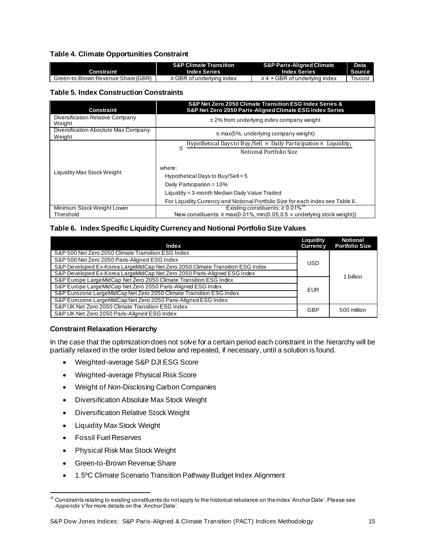### <span id="page-15-0"></span>**Table 4. Climate Opportunities Constraint**

|                                    | <b>S&amp;P Climate Transition</b> | <b>S&amp;P Paris-Aligned Climate</b> | Data    |
|------------------------------------|-----------------------------------|--------------------------------------|---------|
| Constraint                         | <b>Index Series</b>               | <b>Index Series</b>                  | Source  |
| Green-to-Brown Revenue Share (GBR) | $\ge$ GBR of underlying index     | $\geq$ 4 × GBR of underlying index   | Trucost |

### <span id="page-15-1"></span>**Table 5. Index Construction Constraints**

| <b>Constraint</b>                              | S&P Net Zero 2050 Climate Transition ESG Index Series &<br>S&P Net Zero 2050 Paris-Aligned Climate ESG Index Series |  |  |  |
|------------------------------------------------|---------------------------------------------------------------------------------------------------------------------|--|--|--|
| Diversification Relative Company<br>Weight     | $\pm$ 2% from underlying index company weight                                                                       |  |  |  |
| Diversification Absolute Max Company<br>Weight | $\leq$ max(5%, underlying company weight)                                                                           |  |  |  |
|                                                | Hypothetical Days to Buy/Sell $\times$ Daily Participation $\times$ Liquidity,<br><<br>Notional Portfolio Size      |  |  |  |
| Liquidity Max Stock Weight                     | where:<br>Hypothetical Days to Buy/Sell = $5$                                                                       |  |  |  |
|                                                | Daily Participation = 10%                                                                                           |  |  |  |
|                                                | Liquidity = 3-month Median Daily Value Traded                                                                       |  |  |  |
|                                                | For Liquidity Currency and Notional Portfolio Size for each index see Table 6.                                      |  |  |  |
| Minimum Stock Weight Lower                     | Existing constituents: $\geq 0.01\%$ <sup>15</sup>                                                                  |  |  |  |
| Threshold                                      | New constituents: $\geq$ max(0.01%, min(0.05.0.5 $\times$ underlying stock weight))                                 |  |  |  |

### <span id="page-15-2"></span>**Table 6. Index Specific Liquidity Currency and Notional Portfolio Size Values**

| <b>Index</b>                                                                  | Liquidity<br><b>Currency</b> | <b>Notional</b><br><b>Portfolio Size</b> |
|-------------------------------------------------------------------------------|------------------------------|------------------------------------------|
| S&P 500 Net Zero 2050 Climate Transition ESG Index                            |                              |                                          |
| S&P 500 Net Zero 2050 Paris-Aligned ESG Index                                 | <b>USD</b>                   |                                          |
| S&P Developed Ex-Korea LargeMidCap Net Zero 2050 Climate Transition ESG Index |                              |                                          |
| S&P Developed Ex-Korea LargeMidCap Net Zero 2050 Paris-Aligned ESG Index      |                              | 1 billion                                |
| S&P Europe LargeMidCap Net Zero 2050 Climate Transition ESG Index             |                              |                                          |
| S&P Europe LargeMidCap Net Zero 2050 Paris-Aligned ESG Index                  | <b>EUR</b>                   |                                          |
| S&P Eurozone LargeMidCap Net Zero 2050 Climate Transition ESG Index           |                              |                                          |
| S&P Eurozone LargeMidCap Net Zero 2050 Paris-Aligned ESG Index                |                              |                                          |
| S&P UK Net Zero 2050 Climate Transition ESG Index                             | GBP                          | 500 million                              |
| S&P UK Net Zero 2050 Paris-Aligned ESG Index                                  |                              |                                          |

### <span id="page-15-3"></span>**Constraint Relaxation Hierarchy**

In the case that the optimization does not solve for a certain period each constraint in the hierarchy will be partially relaxed in the order listed below and repeated, if necessary, until a solution is found.

- Weighted-average S&P DJI ESG Score
- Weighted-average Physical Risk Score
- Weight of Non-Disclosing Carbon Companies
- Diversification Absolute Max Stock Weight
- Diversification Relative Stock Weight
- Liquidity Max Stock Weight
- Fossil Fuel Reserves
- Physical Risk Max Stock Weight
- Green-to-Brown Revenue Share
- 1.5ºC Climate Scenario Transition Pathway Budget Index Alignment

<sup>&</sup>lt;sup>15</sup> Constraints relating to existing constituents do notapply to the historical rebalance on the index 'Anchor Date'. Please see *Appendix V* for more details on the 'Anchor Date'.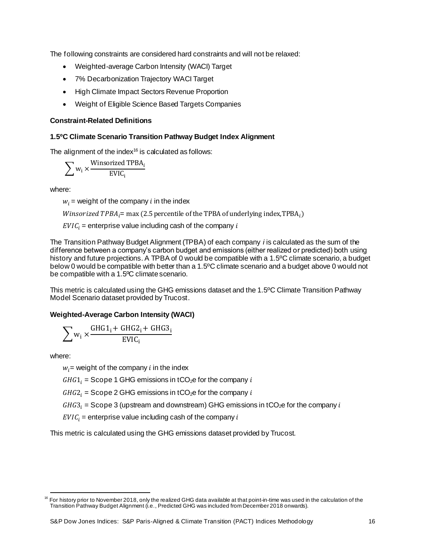The following constraints are considered hard constraints and will not be relaxed:

- Weighted-average Carbon Intensity (WACI) Target
- 7% Decarbonization Trajectory WACI Target
- High Climate Impact Sectors Revenue Proportion
- Weight of Eligible Science Based Targets Companies

### <span id="page-16-0"></span>**Constraint-Related Definitions**

### <span id="page-16-1"></span>**1.5ºC Climate Scenario Transition Pathway Budget Index Alignment**

The alignment of the index $16$  is calculated as follows:

$$
\sum w_i \times \frac{\text{Winsorized TPBA}_i}{\text{EVC}_i}
$$

where:

 $w_i$  = weight of the company *i* in the index

*Winsorized TPBA<sub>i</sub>=* max (2.5 percentile of the TPBA of underlying index,TPBA<sub>i</sub>)

 $EVIC_i$  = enterprise value including cash of the company i

The Transition Pathway Budget Alignment (TPBA) of each company *i* is calculated as the sum of the difference between a company's carbon budget and emissions (either realized or predicted) both using history and future projections. A TPBA of 0 would be compatible with a 1.5ºC climate scenario, a budget below 0 would be compatible with better than a 1.5ºC climate scenario and a budget above 0 would not be compatible with a 1.5ºC climate scenario.

This metric is calculated using the GHG emissions dataset and the 1.5ºC Climate Transition Pathway Model Scenario dataset provided by Trucost.

### <span id="page-16-2"></span>**Weighted-Average Carbon Intensity (WACI)**

$$
\sum w_i \times \frac{GHG1_i + GHG2_i + GHG3_i}{EVIC_i}
$$

where:

 $w_i$  = weight of the company *i* in the index

 $GHG1_i = \text{Scope 1 GHG emissions in tCO}_2e$  for the company i

 $GHG2<sub>i</sub>$  = Scope 2 GHG emissions in tCO<sub>2</sub>e for the company i

 $GHG3<sub>i</sub> = \text{Scope 3 (upstream and downstream)} \text{ GHz emission in } t\text{CO}_2\text{e for the company } i$ 

 $EVIC_i$  = enterprise value including cash of the company i

This metric is calculated using the GHG emissions dataset provided by Trucost.

<sup>16</sup> For history prior to November 2018, only the realized GHG data available at that point-in-time was used in the calculation of the Transition Pathway Budget Alignment (i.e., Predicted GHG was included from December 2018 onwards).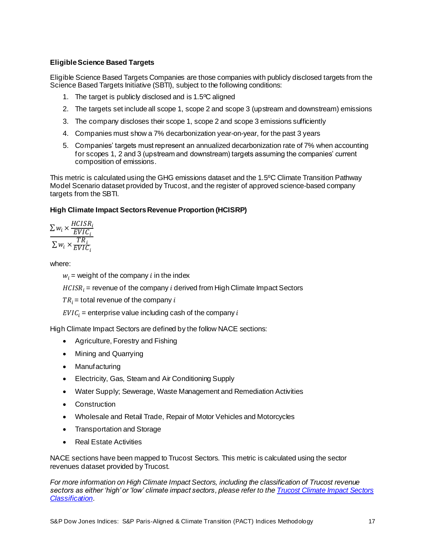### <span id="page-17-0"></span>**Eligible Science Based Targets**

Eligible Science Based Targets Companies are those companies with publicly disclosed targets from the Science Based Targets Initiative (SBTI), subject to the following conditions:

- 1. The target is publicly disclosed and is 1.5ºC aligned
- 2. The targets set include all scope 1, scope 2 and scope 3 (upstream and downstream) emissions
- 3. The company discloses their scope 1, scope 2 and scope 3 emissions sufficiently
- 4. Companies must show a 7% decarbonization year-on-year, for the past 3 years
- 5. Companies' targets must represent an annualized decarbonization rate of 7% when accounting for scopes 1, 2 and 3 (upstream and downstream) targets assuming the companies' current composition of emissions.

This metric is calculated using the GHG emissions dataset and the 1.5ºC Climate Transition Pathway Model Scenario dataset provided by Trucost, and the register of approved science-based company targets from the SBTI.

### <span id="page-17-1"></span>**High Climate Impact Sectors Revenue Proportion (HCISRP)**

$$
\frac{\sum w_i \times \frac{HCISR_i}{EVIC_i}}{\sum w_i \times \frac{TR_i}{EVIC_i}}
$$

where:

 $w_i$  = weight of the company *i* in the index

 $HCISR_i$  = revenue of the company *i* derived from High Climate Impact Sectors

 $TR_i$  = total revenue of the company i

 $EVIC_i$  = enterprise value including cash of the company i

High Climate Impact Sectors are defined by the follow NACE sections:

- Agriculture, Forestry and Fishing
- Mining and Quarrying
- Manufacturing
- Electricity, Gas, Steam and Air Conditioning Supply
- Water Supply; Sewerage, Waste Management and Remediation Activities
- Construction
- Wholesale and Retail Trade, Repair of Motor Vehicles and Motorcycles
- Transportation and Storage
- Real Estate Activities

NACE sections have been mapped to Trucost Sectors. This metric is calculated using the sector revenues dataset provided by Trucost.

*For more information on High Climate Impact Sectors, including the classification of Trucost revenue sectors as either 'high' or 'low' climate impact sectors, please refer to the [Trucost Climate Impact Sectors](https://www.spindices.com/documents/additional-material/trucost-climate-impact-sectors-classification.pdf)  [Classification](https://www.spindices.com/documents/additional-material/trucost-climate-impact-sectors-classification.pdf)*.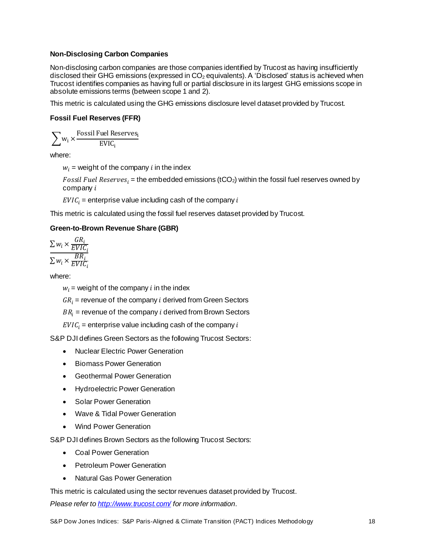### <span id="page-18-0"></span>**Non-Disclosing Carbon Companies**

Non-disclosing carbon companies are those companies identified by Trucost as having insufficiently disclosed their GHG emissions (expressed in CO<sub>2</sub> equivalents). A 'Disclosed' status is achieved when Trucost identifies companies as having full or partial disclosure in its largest GHG emissions scope in absolute emissions terms (between scope 1 and 2).

This metric is calculated using the GHG emissions disclosure level dataset provided by Trucost.

### <span id="page-18-1"></span>**Fossil Fuel Reserves (FFR)**

$$
\sum w_i \times \frac{Fossil\, \text{Full Reserves}_i}{\text{EVIC}_i}
$$

where:

 $w_i$  = weight of the company *i* in the index

*Fossil Fuel Reserves<sub>i</sub>* = the embedded emissions (tCO<sub>2</sub>) within the fossil fuel reserves owned by  $company i$ 

 $EVIC_i$  = enterprise value including cash of the company i

This metric is calculated using the fossil fuel reserves dataset provided by Trucost.

### <span id="page-18-2"></span>**Green-to-Brown Revenue Share (GBR)**

$$
\frac{\sum w_i \times \frac{GR_i}{EVIC_i}}{\sum w_i \times \frac{BR_i}{EVIC_i}}
$$

where:

 $w_i$  = weight of the company *i* in the index

 $GR_i$  = revenue of the company *i* derived from Green Sectors

 $BR_i$  = revenue of the company *i* derived from Brown Sectors

 $EVIC_i$  = enterprise value including cash of the company i

S&P DJI defines Green Sectors as the following Trucost Sectors:

- Nuclear Electric Power Generation
- Biomass Power Generation
- Geothermal Power Generation
- Hydroelectric Power Generation
- Solar Power Generation
- Wave & Tidal Power Generation
- Wind Power Generation

S&P DJI defines Brown Sectors as the following Trucost Sectors:

- Coal Power Generation
- Petroleum Power Generation
- Natural Gas Power Generation

This metric is calculated using the sector revenues dataset provided by Trucost.

*Please refer t[o http://www.trucost.com/](http://www.trucost.com/) for more information*.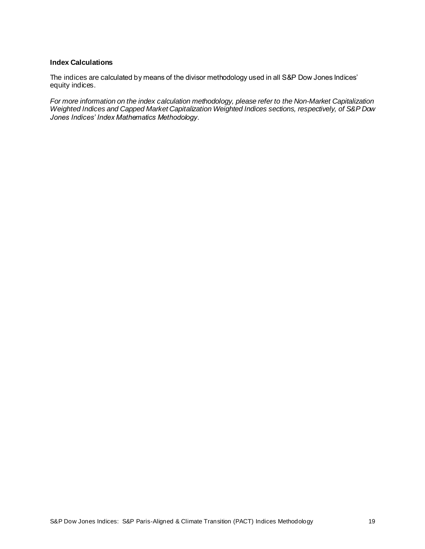### <span id="page-19-0"></span>**Index Calculations**

The indices are calculated by means of the divisor methodology used in all S&P Dow Jones Indices' equity indices.

*For more information on the index calculation methodology, please refer to the Non-Market Capitalization Weighted Indices and Capped Market Capitalization Weighted Indices sections, respectively, of S&P Dow Jones Indices' Index Mathematics Methodology.*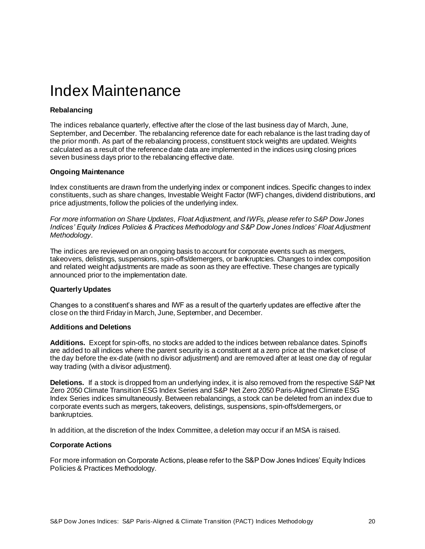### <span id="page-20-0"></span>Index Maintenance

### <span id="page-20-1"></span>**Rebalancing**

The indices rebalance quarterly, effective after the close of the last business day of March, June, September, and December. The rebalancing reference date for each rebalance is the last trading day of the prior month. As part of the rebalancing process, constituent stock weights are updated. Weights calculated as a result of the reference date data are implemented in the indices using closing prices seven business days prior to the rebalancing effective date.

### <span id="page-20-2"></span>**Ongoing Maintenance**

Index constituents are drawn from the underlying index or component indices. Specific changes to index constituents, such as share changes, Investable Weight Factor (IWF) changes, dividend distributions, and price adjustments, follow the policies of the underlying index.

*For more information on Share Updates, Float Adjustment, and IWFs, please refer to S&P Dow Jones Indices' Equity Indices Policies & Practices Methodology and S&P Dow Jones Indices' Float Adjustment Methodology.*

The indices are reviewed on an ongoing basis to account for corporate events such as mergers, takeovers, delistings, suspensions, spin-offs/demergers, or bankruptcies. Changes to index composition and related weight adjustments are made as soon as they are effective. These changes are typically announced prior to the implementation date.

### <span id="page-20-3"></span>**Quarterly Updates**

Changes to a constituent's shares and IWF as a result of the quarterly updates are effective after the close on the third Friday in March, June, September, and December.

### <span id="page-20-4"></span>**Additions and Deletions**

**Additions.** Except for spin-offs, no stocks are added to the indices between rebalance dates. Spinoffs are added to all indices where the parent security is a constituent at a zero price at the market close of the day before the ex-date (with no divisor adjustment) and are removed after at least one day of regular way trading (with a divisor adjustment).

**Deletions.** If a stock is dropped from an underlying index, it is also removed from the respective S&P Net Zero 2050 Climate Transition ESG Index Series and S&P Net Zero 2050 Paris-Aligned Climate ESG Index Series indices simultaneously. Between rebalancings, a stock can be deleted from an index due to corporate events such as mergers, takeovers, delistings, suspensions, spin-offs/demergers, or bankruptcies.

<span id="page-20-5"></span>In addition, at the discretion of the Index Committee, a deletion may occur if an MSA is raised.

### **Corporate Actions**

For more information on Corporate Actions, please refer to the S&P Dow Jones Indices' Equity Indices Policies & Practices Methodology.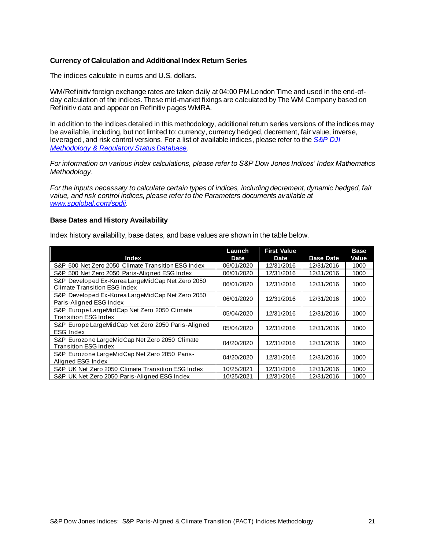### <span id="page-21-0"></span>**Currency of Calculation and Additional Index Return Series**

The indices calculate in euros and U.S. dollars.

WM/Refinitiv foreign exchange rates are taken daily at 04:00 PM London Time and used in the end-ofday calculation of the indices. These mid-market fixings are calculated by The WM Company based on Refinitiv data and appear on Refinitiv pages WMRA.

In addition to the indices detailed in this methodology, additional return series versions of the indices may be available, including, but not limited to: currency, currency hedged, decrement, fair value, inverse, leveraged, and risk control versions. For a list of available indices, please refer to the *[S&P DJI](https://www.spglobal.com/spdji/en/governance/methodology-and-regulatory-status/)  [Methodology & Regulatory Status Database](https://www.spglobal.com/spdji/en/governance/methodology-and-regulatory-status/)*.

*For information on various index calculations, please refer to S&P Dow Jones Indices' Index Mathematics Methodology.*

*For the inputs necessary to calculate certain types of indices, including decrement, dynamic hedged, fair value, and risk control indices, please refer to the Parameters documents available at [www.spglobal.com/spdji](https://www.spglobal.com/spdji).*

#### <span id="page-21-1"></span>**Base Dates and History Availability**

Index history availability, base dates, and base values are shown in the table below.

| Index                                                                                   | Launch<br>Date | <b>First Value</b><br>Date | <b>Base Date</b> | <b>Base</b><br>Value |
|-----------------------------------------------------------------------------------------|----------------|----------------------------|------------------|----------------------|
| S&P 500 Net Zero 2050 Climate Transition ESG Index                                      | 06/01/2020     | 12/31/2016                 | 12/31/2016       | 1000                 |
| S&P 500 Net Zero 2050 Paris-Aligned ESG Index                                           | 06/01/2020     | 12/31/2016                 | 12/31/2016       | 1000                 |
| S&P Developed Ex-Korea LargeMidCap Net Zero 2050<br><b>Climate Transition ESG Index</b> | 06/01/2020     | 12/31/2016                 | 12/31/2016       | 1000                 |
| S&P Developed Ex-Korea LargeMidCap Net Zero 2050<br>Paris-Alianed ESG Index             | 06/01/2020     | 12/31/2016                 | 12/31/2016       | 1000                 |
| S&P Europe LargeMidCap Net Zero 2050 Climate<br><b>Transition ESG Index</b>             | 05/04/2020     | 12/31/2016                 | 12/31/2016       | 1000                 |
| S&P Europe LargeMidCap Net Zero 2050 Paris-Aligned<br><b>ESG Index</b>                  | 05/04/2020     | 12/31/2016                 | 12/31/2016       | 1000                 |
| S&P Eurozone LargeMidCap Net Zero 2050 Climate<br><b>Transition ESG Index</b>           | 04/20/2020     | 12/31/2016                 | 12/31/2016       | 1000                 |
| S&P Eurozone LargeMidCap Net Zero 2050 Paris-<br>Alianed ESG Index                      | 04/20/2020     | 12/31/2016                 | 12/31/2016       | 1000                 |
| S&P UK Net Zero 2050 Climate Transition ESG Index                                       | 10/25/2021     | 12/31/2016                 | 12/31/2016       | 1000                 |
| S&P UK Net Zero 2050 Paris-Aligned ESG Index                                            | 10/25/2021     | 12/31/2016                 | 12/31/2016       | 1000                 |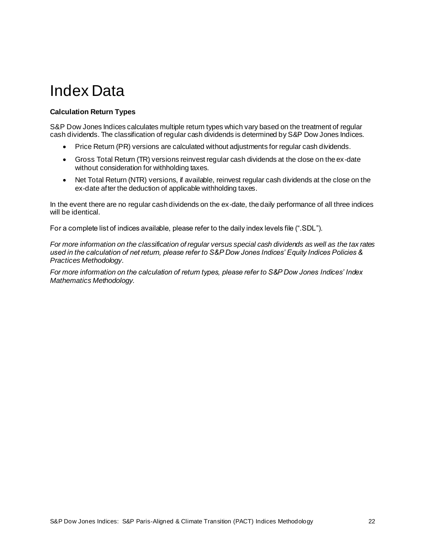### <span id="page-22-0"></span>Index Data

### <span id="page-22-1"></span>**Calculation Return Types**

S&P Dow Jones Indices calculates multiple return types which vary based on the treatment of regular cash dividends. The classification of regular cash dividends is determined by S&P Dow Jones Indices.

- Price Return (PR) versions are calculated without adjustments for regular cash dividends.
- Gross Total Return (TR) versions reinvest regular cash dividends at the close on the ex-date without consideration for withholding taxes.
- Net Total Return (NTR) versions, if available, reinvest regular cash dividends at the close on the ex-date after the deduction of applicable withholding taxes.

In the event there are no regular cash dividends on the ex-date, the daily performance of all three indices will be identical.

For a complete list of indices available, please refer to the daily index levels file (".SDL").

*For more information on the classification of regular versus special cash dividends as well as the tax rates used in the calculation of net return, please refer to S&P Dow Jones Indices' Equity Indices Policies & Practices Methodology*.

*For more information on the calculation of return types, please refer to S&P Dow Jones Indices' Index Mathematics Methodology.*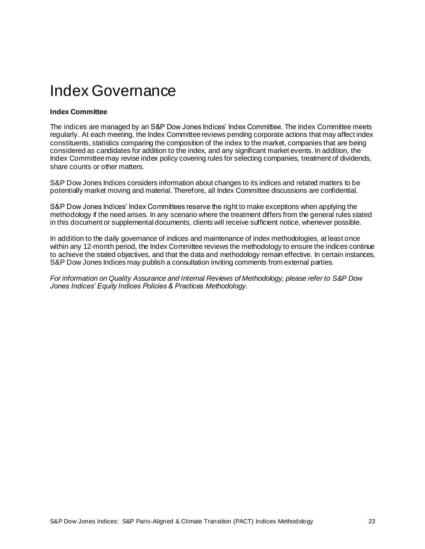### <span id="page-23-0"></span>Index Governance

### <span id="page-23-1"></span>**Index Committee**

The indices are managed by an S&P Dow Jones Indices' Index Committee. The Index Committee meets regularly. At each meeting, the Index Committee reviews pending corporate actions that may affect index constituents, statistics comparing the composition of the index to the market, companies that are being considered as candidates for addition to the index, and any significant market events. In addition, the Index Committee may revise index policy covering rules for selecting companies, treatment of dividends, share counts or other matters.

S&P Dow Jones Indices considers information about changes to its indices and related matters to be potentially market moving and material. Therefore, all Index Committee discussions are confidential.

S&P Dow Jones Indices' Index Committees reserve the right to make exceptions when applying the methodology if the need arises. In any scenario where the treatment differs from the general rules stated in this document or supplemental documents, clients will receive sufficient notice, whenever possible.

In addition to the daily governance of indices and maintenance of index methodologies, at least once within any 12-month period, the Index Committee reviews the methodology to ensure the indices continue to achieve the stated objectives, and that the data and methodology remain effective. In certain instances, S&P Dow Jones Indices may publish a consultation inviting comments from external parties.

*For information on Quality Assurance and Internal Reviews of Methodology, please refer to S&P Dow Jones Indices' Equity Indices Policies & Practices Methodology*.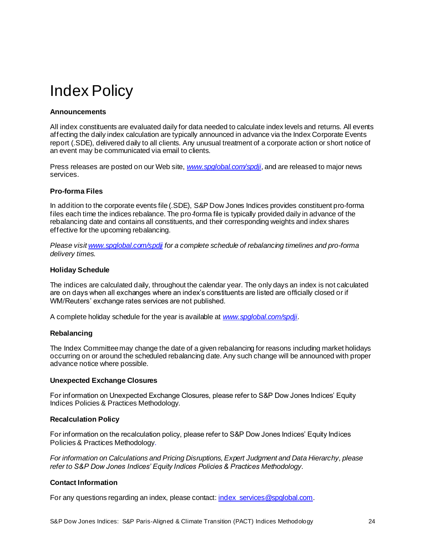### <span id="page-24-0"></span>Index Policy

### <span id="page-24-1"></span>**Announcements**

All index constituents are evaluated daily for data needed to calculate index levels and returns. All events affecting the daily index calculation are typically announced in advance via the Index Corporate Events report (.SDE), delivered daily to all clients. Any unusual treatment of a corporate action or short notice of an event may be communicated via email to clients.

Press releases are posted on our Web site, *[www.spglobal.com/spdji](https://www.spglobal.com/spdji)*, and are released to major news services.

### <span id="page-24-2"></span>**Pro-forma Files**

In addition to the corporate events file (.SDE), S&P Dow Jones Indices provides constituent pro-forma files each time the indices rebalance. The pro-forma file is typically provided daily in advance of the rebalancing date and contains all constituents, and their corresponding weights and index shares effective for the upcoming rebalancing.

*Please visi[t www.spglobal.com/spdji](https://www.spglobal.com/spdji) for a complete schedule of rebalancing timelines and pro-forma delivery times.*

### <span id="page-24-3"></span>**Holiday Schedule**

The indices are calculated daily, throughout the calendar year. The only days an index is not calculated are on days when all exchanges where an index's constituents are listed are officially closed or if WM/Reuters' exchange rates services are not published.

<span id="page-24-4"></span>A complete holiday schedule for the year is available at *[www.spglobal.com/spdji](https://www.spglobal.com/spdji)*.

### **Rebalancing**

The Index Committee may change the date of a given rebalancing for reasons including market holidays occurring on or around the scheduled rebalancing date. Any such change will be announced with proper advance notice where possible.

### <span id="page-24-5"></span>**Unexpected Exchange Closures**

For information on Unexpected Exchange Closures, please refer to S&P Dow Jones Indices' Equity Indices Policies & Practices Methodology.

### <span id="page-24-6"></span>**Recalculation Policy**

For information on the recalculation policy, please refer to S&P Dow Jones Indices' Equity Indices Policies & Practices Methodology.

*For information on Calculations and Pricing Disruptions, Expert Judgment and Data Hierarchy, please refer to S&P Dow Jones Indices' Equity Indices Policies & Practices Methodology*.

### <span id="page-24-7"></span>**Contact Information**

For any questions regarding an index, please contact[: index\\_services@spglobal.com](mailto:index_services@spglobal.com).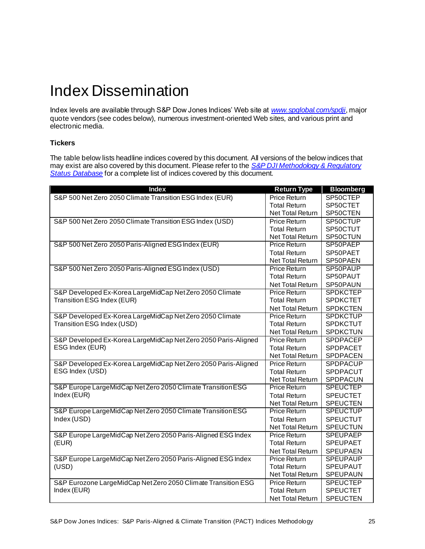### <span id="page-25-0"></span>Index Dissemination

Index levels are available through S&P Dow Jones Indices' Web site at *[www.spglobal.com/spdji](https://www.spglobal.com/spdji)*, major quote vendors (see codes below), numerous investment-oriented Web sites, and various print and electronic media.

### <span id="page-25-1"></span>**Tickers**

The table below lists headline indices covered by this document. All versions of the below indices that may exist are also covered by this document. Please refer to the *[S&P DJI Methodology & Regulatory](https://www.spglobal.com/spdji/en/governance/methodology-and-regulatory-status/)  [Status Database](https://www.spglobal.com/spdji/en/governance/methodology-and-regulatory-status/)* for a complete list of indices covered by this document.

| <b>Index</b>                                                   | <b>Return Type</b>      | <b>Bloomberg</b> |
|----------------------------------------------------------------|-------------------------|------------------|
| S&P 500 Net Zero 2050 Climate Transition ESG Index (EUR)       | Price Return            | SP50CTEP         |
|                                                                | <b>Total Return</b>     | SP50CTET         |
|                                                                | Net Total Return        | SP50CTEN         |
| S&P 500 Net Zero 2050 Climate Transition ESG Index (USD)       | <b>Price Return</b>     | SP50CTUP         |
|                                                                | <b>Total Return</b>     | SP50CTUT         |
|                                                                | <b>Net Total Return</b> | SP50CTUN         |
| S&P 500 Net Zero 2050 Paris-Aligned ESG Index (EUR)            | Price Return            | SP50PAEP         |
|                                                                | <b>Total Return</b>     | SP50PAET         |
|                                                                | <b>Net Total Return</b> | SP50PAEN         |
| S&P 500 Net Zero 2050 Paris-Aligned ESG Index (USD)            | <b>Price Return</b>     | SP50PAUP         |
|                                                                | <b>Total Return</b>     | SP50PAUT         |
|                                                                | <b>Net Total Return</b> | SP50PAUN         |
| S&P Developed Ex-Korea LargeMidCap Net Zero 2050 Climate       | <b>Price Return</b>     | <b>SPDKCTEP</b>  |
| Transition ESG Index (EUR)                                     | <b>Total Return</b>     | <b>SPDKCTET</b>  |
|                                                                | <b>Net Total Return</b> | <b>SPDKCTEN</b>  |
| S&P Developed Ex-Korea LargeMidCap Net Zero 2050 Climate       | <b>Price Return</b>     | <b>SPDKCTUP</b>  |
| Transition ESG Index (USD)                                     | <b>Total Return</b>     | <b>SPDKCTUT</b>  |
|                                                                | Net Total Return        | <b>SPDKCTUN</b>  |
| S&P Developed Ex-Korea LargeMidCap Net Zero 2050 Paris-Aligned | Price Return            | <b>SPDPACEP</b>  |
| ESG Index (EUR)                                                | <b>Total Return</b>     | <b>SPDPACET</b>  |
|                                                                | <b>Net Total Return</b> | SPDPACEN         |
| S&P Developed Ex-Korea LargeMidCap Net Zero 2050 Paris-Aligned | <b>Price Return</b>     | <b>SPDPACUP</b>  |
| ESG Index (USD)                                                | <b>Total Return</b>     | SPDPACUT         |
|                                                                | <b>Net Total Return</b> | <b>SPDPACUN</b>  |
| S&P Europe LargeMidCap Net Zero 2050 Climate Transition ESG    | <b>Price Return</b>     | <b>SPEUCTEP</b>  |
| Index (EUR)                                                    | <b>Total Return</b>     | <b>SPEUCTET</b>  |
|                                                                | <b>Net Total Return</b> | <b>SPEUCTEN</b>  |
| S&P Europe LargeMidCap Net Zero 2050 Climate Transition ESG    | <b>Price Return</b>     | <b>SPEUCTUP</b>  |
| Index (USD)                                                    | <b>Total Return</b>     | <b>SPEUCTUT</b>  |
|                                                                | Net Total Return        | <b>SPEUCTUN</b>  |
| S&P Europe LargeMidCap Net Zero 2050 Paris-Aligned ESG Index   | <b>Price Return</b>     | <b>SPEUPAEP</b>  |
| (EUR)                                                          | <b>Total Return</b>     | <b>SPEUPAET</b>  |
|                                                                | Net Total Return        | <b>SPEUPAEN</b>  |
| S&P Europe LargeMidCap Net Zero 2050 Paris-Aligned ESG Index   | <b>Price Return</b>     | <b>SPEUPAUP</b>  |
| (USD)                                                          | <b>Total Return</b>     | <b>SPEUPAUT</b>  |
|                                                                | Net Total Return        | SPEUPAUN         |
| S&P Eurozone LargeMidCap Net Zero 2050 Climate Transition ESG  | Price Return            | <b>SPEUCTEP</b>  |
| Index (EUR)                                                    | <b>Total Return</b>     | <b>SPEUCTET</b>  |
|                                                                | <b>Net Total Return</b> | <b>SPEUCTEN</b>  |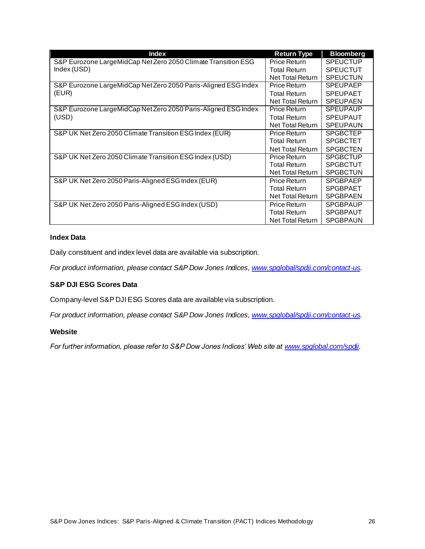| <b>Index</b>                                                   | <b>Return Type</b>      | <b>Bloomberg</b> |
|----------------------------------------------------------------|-------------------------|------------------|
| S&P Eurozone LargeMidCap Net Zero 2050 Climate Transition ESG  | Price Return            | <b>SPEUCTUP</b>  |
| Index (USD)                                                    | <b>Total Return</b>     | <b>SPEUCTUT</b>  |
|                                                                | Net Total Return        | <b>SPEUCTUN</b>  |
| S&P Eurozone LargeMidCap Net Zero 2050 Paris-Aligned ESG Index | Price Return            | <b>SPEUPAEP</b>  |
| (EUR)                                                          | <b>Total Return</b>     | <b>SPEUPAET</b>  |
|                                                                | Net Total Return        | <b>SPEUPAEN</b>  |
| S&P Eurozone LargeMidCap Net Zero 2050 Paris-Aligned ESG Index | Price Return            | <b>SPEUPAUP</b>  |
| (USD)                                                          | <b>Total Return</b>     | <b>SPEUPAUT</b>  |
|                                                                | <b>Net Total Return</b> | <b>SPEUPAUN</b>  |
| S&P UK Net Zero 2050 Climate Transition ESG Index (EUR)        | Price Return            | <b>SPGBCTEP</b>  |
|                                                                | <b>Total Return</b>     | <b>SPGBCTET</b>  |
|                                                                | <b>Net Total Return</b> | <b>SPGBCTEN</b>  |
| S&P UK Net Zero 2050 Climate Transition ESG Index (USD)        | Price Return            | <b>SPGBCTUP</b>  |
|                                                                | <b>Total Return</b>     | <b>SPGBCTUT</b>  |
|                                                                | <b>Net Total Return</b> | <b>SPGBCTUN</b>  |
| S&P UK Net Zero 2050 Paris-Aligned ESG Index (EUR)             | Price Return            | <b>SPGBPAEP</b>  |
|                                                                | <b>Total Return</b>     | <b>SPGBPAET</b>  |
|                                                                | Net Total Return        | <b>SPGBPAEN</b>  |
| S&P UK Net Zero 2050 Paris-Aligned ESG Index (USD)             | Price Return            | <b>SPGBPAUP</b>  |
|                                                                | <b>Total Return</b>     | <b>SPGBPAUT</b>  |
|                                                                | Net Total Return        | <b>SPGBPAUN</b>  |

### <span id="page-26-0"></span>**Index Data**

Daily constituent and index level data are available via subscription.

*For product information, please contact S&P Dow Jones Indices[, www.spglobal/spdji.com/contact-us](http://www.spdji.com/contact-us).* 

### <span id="page-26-1"></span>**S&P DJI ESG Scores Data**

Company-level S&P DJI ESG Scores data are available via subscription.

<span id="page-26-2"></span>*For product information, please contact S&P Dow Jones Indices[, www.spglobal/spdji.com/contact-us](http://www.spdji.com/contact-us).* 

### **Website**

*For further information, please refer to S&P Dow Jones Indices' Web site a[t www.spglobal.com/spdji](https://www.spglobal.com/spdji).*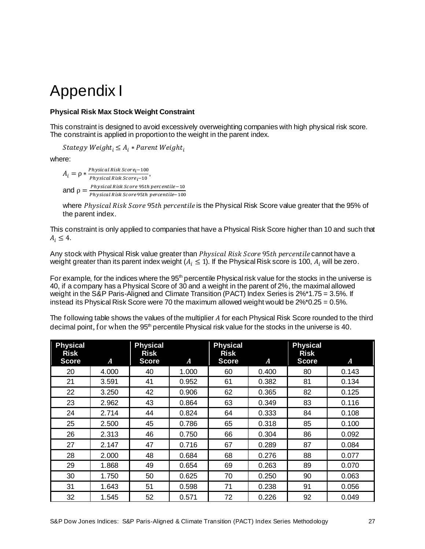### <span id="page-27-0"></span>Appendix I

### <span id="page-27-1"></span>**Physical Risk Max Stock Weight Constraint**

This constraint is designed to avoid excessively overweighting companies with high physical risk score. The constraint is applied in proportion to the weight in the parent index.

*Stategy Weight*<sub>i</sub>  $\leq A_i *$  *Parent Weight*<sub>i</sub>

where:

 $A_i = \rho * \frac{Physical Risk Score_i - 100}{Physical Risk Score_i - 100}$ *Firstcal Risk Score* $i^{-100}$ ,<br>*Physical Risk Score* $i^{-10}$ , and ρ = ℎ 95ℎ−10 Physical Risk Score 95th percentile−100

where Physical Risk Score 95th percentile is the Physical Risk Score value greater that the 95% of the parent index.

This constraint is only applied to companies that have a Physical Risk Score higher than 10 and such that  $A_i \leq 4$ .

Any stock with Physical Risk value greater than *Physical Risk Score 95th percentile* cannot have a weight greater than its parent index weight  $(A_i \leq 1)$ . If the Physical Risk score is 100,  $A_i$  will be zero.

For example, for the indices where the 95<sup>th</sup> percentile Physical risk value for the stocks in the universe is 40, if a company has a Physical Score of 30 and a weight in the parent of 2%, the maximal allowed weight in the S&P Paris-Aligned and Climate Transition (PACT) Index Series is 2%\*1.75 = 3.5%. If instead its Physical Risk Score were 70 the maximum allowed weight would be 2%\*0.25 = 0.5%.

The following table shows the values of the multiplier A for each Physical Risk Score rounded to the third decimal point, for when the 95<sup>th</sup> percentile Physical risk value for the stocks in the universe is 40.

| <b>Physical</b><br><b>Risk</b><br><b>Score</b> | A     | <b>Physical</b><br><b>Risk</b><br><b>Score</b> | A     | <b>Physical</b><br><b>Risk</b><br><b>Score</b> | A     | <b>Physical</b><br><b>Risk</b><br><b>Score</b> | A     |
|------------------------------------------------|-------|------------------------------------------------|-------|------------------------------------------------|-------|------------------------------------------------|-------|
| 20                                             | 4.000 | 40                                             | 1.000 | 60                                             | 0.400 | 80                                             | 0.143 |
| 21                                             | 3.591 | 41                                             | 0.952 | 61                                             | 0.382 | 81                                             | 0.134 |
| 22                                             | 3.250 | 42                                             | 0.906 | 62                                             | 0.365 | 82                                             | 0.125 |
| 23                                             | 2.962 | 43                                             | 0.864 | 63                                             | 0.349 | 83                                             | 0.116 |
| 24                                             | 2.714 | 44                                             | 0.824 | 64                                             | 0.333 | 84                                             | 0.108 |
| 25                                             | 2.500 | 45                                             | 0.786 | 65                                             | 0.318 | 85                                             | 0.100 |
| 26                                             | 2.313 | 46                                             | 0.750 | 66                                             | 0.304 | 86                                             | 0.092 |
| 27                                             | 2.147 | 47                                             | 0.716 | 67                                             | 0.289 | 87                                             | 0.084 |
| 28                                             | 2.000 | 48                                             | 0.684 | 68                                             | 0.276 | 88                                             | 0.077 |
| 29                                             | 1.868 | 49                                             | 0.654 | 69                                             | 0.263 | 89                                             | 0.070 |
| 30                                             | 1.750 | 50                                             | 0.625 | 70                                             | 0.250 | 90                                             | 0.063 |
| 31                                             | 1.643 | 51                                             | 0.598 | 71                                             | 0.238 | 91                                             | 0.056 |
| 32                                             | 1.545 | 52                                             | 0.571 | 72                                             | 0.226 | 92                                             | 0.049 |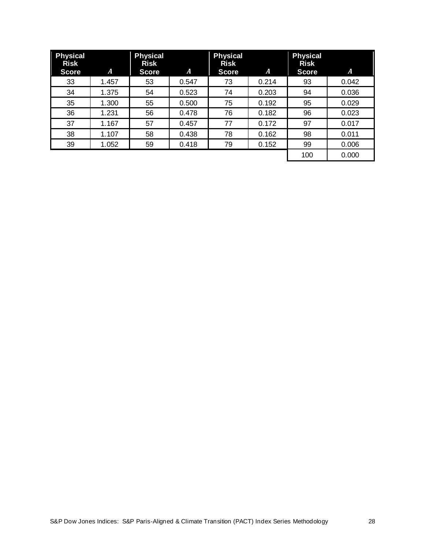| <b>Physical</b><br><b>Risk</b><br><b>Score</b> | A     | <b>Physical</b><br><b>Risk</b><br><b>Score</b> | A     | <b>Physical</b><br><b>Risk</b><br><b>Score</b> | A     | <b>Physical</b><br><b>Risk</b><br><b>Score</b> | A     |
|------------------------------------------------|-------|------------------------------------------------|-------|------------------------------------------------|-------|------------------------------------------------|-------|
| 33                                             | 1.457 | 53                                             | 0.547 | 73                                             | 0.214 | 93                                             | 0.042 |
| 34                                             | 1.375 | 54                                             | 0.523 | 74                                             | 0.203 | 94                                             | 0.036 |
| 35                                             | 1.300 | 55                                             | 0.500 | 75                                             | 0.192 | 95                                             | 0.029 |
| 36                                             | 1.231 | 56                                             | 0.478 | 76                                             | 0.182 | 96                                             | 0.023 |
| 37                                             | 1.167 | 57                                             | 0.457 | 77                                             | 0.172 | 97                                             | 0.017 |
| 38                                             | 1.107 | 58                                             | 0.438 | 78                                             | 0.162 | 98                                             | 0.011 |
| 39                                             | 1.052 | 59                                             | 0.418 | 79                                             | 0.152 | 99                                             | 0.006 |
|                                                |       |                                                |       |                                                |       | 100                                            | 0.000 |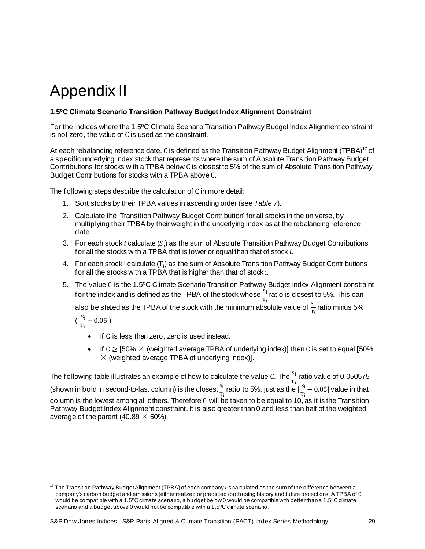## <span id="page-29-0"></span>Appendix II

### <span id="page-29-1"></span>**1.5ºC Climate Scenario Transition Pathway Budget Index Alignment Constraint**

For the indices where the 1.5ºC Climate Scenario Transition Pathway Budget Index Alignment constraint is not zero, the value of C is used as the constraint.

At each rebalancing reference date, C is defined as the Transition Pathway Budget Alignment (TPBA)<sup>17</sup> of a specific underlying index stock that represents where the sum of Absolute Transition Pathway Budget Contributions for stocks with a TPBA below C is closest to 5% of the sum of Absolute Transition Pathway Budget Contributions for stocks with a TPBA above C.

The following steps describe the calculation of C in more detail:

- 1. Sort stocks by their TPBA values in ascending order (see *Table 7*).
- 2. Calculate the 'Transition Pathway Budget Contribution' for all stocks in the universe, by multiplying their TPBA by their weight in the underlying index as at the rebalancing reference date.
- 3. For each stock i calculate ( $S_i$ ) as the sum of Absolute Transition Pathway Budget Contributions for all the stocks with a TPBA that is lower or equal than that of stock  $i$ .
- 4. For each stock i calculate  $(T_i)$  as the sum of Absolute Transition Pathway Budget Contributions for all the stocks with a TPBA that is higher than that of stock i.
- 5. The value C is the 1.5ºC Climate Scenario Transition Pathway Budget Index Alignment constraint for the index and is defined as the TPBA of the stock whose  $\frac{S_i}{T_i}$  ratio is closest to 5%. This can

also be stated as the TPBA of the stock with the minimum absolute value of  $\frac{S_i}{T_i}$  ratio minus 5%

 $\left(\right|\frac{S_i}{\pi}$  $\frac{S_1}{T_1}$  – 0.05|).

- If C is less than zero, zero is used instead.
- If  $C \ge 50\% \times$  (weighted average TPBA of underlying index)] then C is set to equal [50%  $\times$  (weighted average TPBA of underlying index)].

The following table illustrates an example of how to calculate the value C. The  $\frac{S_{\rm i}}{T_{\rm i}}$  ratio value of 0.050575 (shown in bold in second-to-last column) is the closest  $\frac{S_{\rm i}}{T_{\rm i}}$  ratio to 5%, just as the  $|\frac{S_{\rm i}}{T_{\rm i}}\rangle$  $\frac{s_1}{T_1}$  – 0.05| value in that column is the lowest among all others. Therefore C will be taken to be equal to 10, as it is the Transition Pathway Budget Index Alignment constraint. It is also greater than 0 and less than half of the weighted average of the parent (40.89  $\times$  50%).

<sup>17</sup> The Transition Pathway Budget Alignment (TPBA) of each company *i* is calculated as the sum of the difference between a company's carbon budget and emissions (either realized or predicted) both using history and future projections. A TPBA of 0 would be compatible with a 1.5°C climate scenario, a budget below 0 would be compatible with better than a 1.5°C climate scenario and a budget above 0 would not be compatible with a 1.5ºC climate scenario.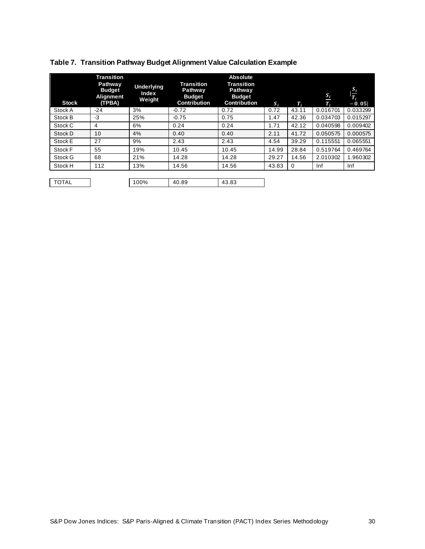| <b>Stock</b> | <b>Transition</b><br>Pathway<br><b>Budget</b><br><b>Alignment</b><br>(TPBA) | <b>Underlying</b><br>Index<br>Weight | Transition<br>Pathway<br><b>Budget</b><br><b>Contribution</b> | <b>Absolute</b><br><b>Transition</b><br>Pathway<br><b>Budget</b><br><b>Contribution</b> | $S_i$ | $T_i$    | $S_i$<br>$T_i$ | $\frac{S_i}{T_i}$<br>$-0.05$ |
|--------------|-----------------------------------------------------------------------------|--------------------------------------|---------------------------------------------------------------|-----------------------------------------------------------------------------------------|-------|----------|----------------|------------------------------|
| Stock A      | $-24$                                                                       | 3%                                   | $-0.72$                                                       | 0.72                                                                                    | 0.72  | 43.11    | 0.016701       | 0.033299                     |
| Stock B      | $-3$                                                                        | 25%                                  | $-0.75$                                                       | 0.75                                                                                    | 1.47  | 42.36    | 0.034703       | 0.015297                     |
| Stock C      | 4                                                                           | 6%                                   | 0.24                                                          | 0.24                                                                                    | 1.71  | 42.12    | 0.040598       | 0.009402                     |
| Stock D      | 10 <sup>1</sup>                                                             | 4%                                   | 0.40                                                          | 0.40                                                                                    | 2.11  | 41.72    | 0.050575       | 0.000575                     |
| Stock E      | 27                                                                          | 9%                                   | 2.43                                                          | 2.43                                                                                    | 4.54  | 39.29    | 0.115551       | 0.065551                     |
| Stock F      | 55                                                                          | 19%                                  | 10.45                                                         | 10.45                                                                                   | 14.99 | 28.84    | 0.519764       | 0.469764                     |
| Stock G      | 68                                                                          | 21%                                  | 14.28                                                         | 14.28                                                                                   | 29.27 | 14.56    | 2.010302       | 1.960302                     |
| Stock H      | 112                                                                         | 13%                                  | 14.56                                                         | 14.56                                                                                   | 43.83 | $\Omega$ | Inf            | Inf                          |
|              |                                                                             |                                      |                                                               |                                                                                         |       |          |                |                              |
| <b>TOTAL</b> |                                                                             | 100%                                 | 40.89                                                         | 43.83                                                                                   |       |          |                |                              |

### <span id="page-30-0"></span>**Table 7. Transition Pathway Budget Alignment Value Calculation Example**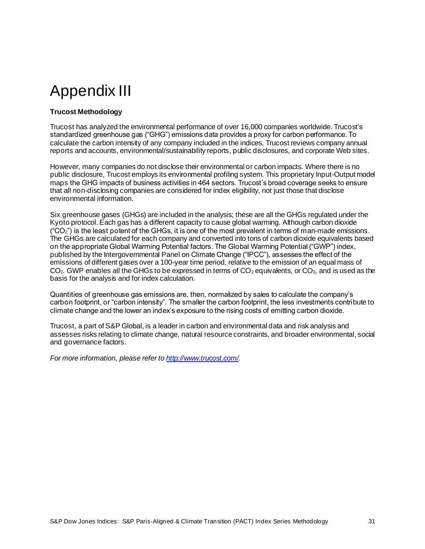## <span id="page-31-0"></span>Appendix III

### <span id="page-31-1"></span>**Trucost Methodology**

Trucost has analyzed the environmental performance of over 16,000 companies worldwide. Trucost's standardized greenhouse gas ("GHG") emissions data provides a proxy for carbon performance. To calculate the carbon intensity of any company included in the indices, Trucost reviews company annual reports and accounts, environmental/sustainability reports, public disclosures, and corporate Web sites.

However, many companies do not disclose their environmental or carbon impacts. Where there is no public disclosure, Trucost employs its environmental profiling system. This proprietary Input-Output model maps the GHG impacts of business activities in 464 sectors. Trucost's broad coverage seeks to ensure that all non-disclosing companies are considered for index eligibility, not just those that disclose environmental information.

Six greenhouse gases (GHGs) are included in the analysis; these are all the GHGs regulated under the Kyoto protocol. Each gas has a different capacity to cause global warming. Although carbon dioxide ("CO2") is the least potent of the GHGs, it is one of the most prevalent in terms of man-made emissions. The GHGs are calculated for each company and converted into tons of carbon dioxide equivalents based on the appropriate Global Warming Potential factors. The Global Warming Potential ("GWP") index, published by the Intergovernmental Panel on Climate Change ("IPCC"), assesses the effect of the emissions of different gases over a 100-year time period, relative to the emission of an equal mass of  $CO<sub>2</sub>$ . GWP enables all the GHGs to be expressed in terms of  $CO<sub>2</sub>$  equivalents, or  $CO<sub>2</sub>$ , and is used as the basis for the analysis and for index calculation.

Quantities of greenhouse gas emissions are, then, normalized by sales to calculate the company's carbon footprint, or "carbon intensity". The smaller the carbon footprint, the less investments contribute to climate change and the lower an index's exposure to the rising costs of emitting carbon dioxide.

Trucost, a part of S&P Global, is a leader in carbon and environmental data and risk analysis and assesses risks relating to climate change, natural resource constraints, and broader environmental, social and governance factors.

*For more information, please refer t[o http://www.trucost.com/](http://www.trucost.com/)*.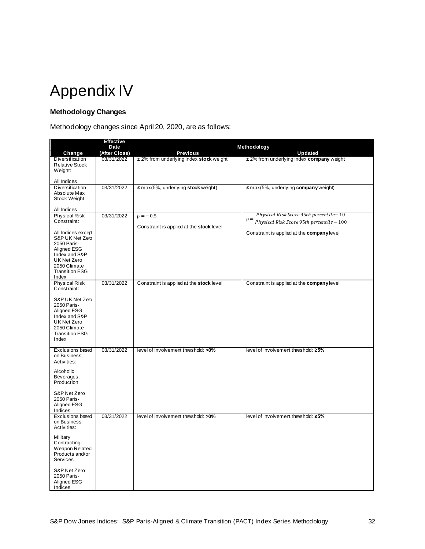<span id="page-32-0"></span>

### <span id="page-32-1"></span>**Methodology Changes**

Methodology changes since April 20, 2020, are as follows:

|                                                                                                                                        | <b>Effective</b>      |                                          |                                                       |
|----------------------------------------------------------------------------------------------------------------------------------------|-----------------------|------------------------------------------|-------------------------------------------------------|
|                                                                                                                                        | Date<br>(After Close) | <b>Previous</b>                          | Methodology<br><b>Updated</b>                         |
| Change<br>Diversification<br><b>Relative Stock</b><br>Weight:                                                                          | 03/31/2022            | ± 2% from underlying index stock weight  | ± 2% from underlying index company weight             |
| All Indices                                                                                                                            |                       |                                          |                                                       |
| Diversification<br>Absolute Max<br>Stock Weight:                                                                                       | 03/31/2022            | $\leq$ max(5%, underlying stock weight)  | $\leq$ max(5%, underlying company weight)             |
| All Indices<br><b>Physical Risk</b>                                                                                                    | 03/31/2022            | $\rho = -0.5$                            | Physical Risk Score 95th percentile – 10              |
| Constraint:<br>All Indices except                                                                                                      |                       | Constraint is applied at the stock level | $\rho =$<br>Physical Risk Score 95th percentile - 100 |
| S&P UK Net Zero<br>2050 Paris-<br>Aligned ESG<br>Index and S&P<br><b>UK Net Zero</b><br>2050 Climate<br><b>Transition ESG</b><br>Index |                       |                                          | Constraint is applied at the company level            |
| <b>Physical Risk</b><br>Constraint:                                                                                                    | 03/31/2022            | Constraint is applied at the stock level | Constraint is applied at the company level            |
| S&P UK Net Zero<br>2050 Paris-<br>Aligned ESG<br>Index and S&P<br>UK Net Zero<br>2050 Climate<br><b>Transition ESG</b><br>Index        |                       |                                          |                                                       |
| <b>Exclusions based</b><br>on Business<br>Activities:                                                                                  | 03/31/2022            | level of involvement threshold: >0%      | level of involvement threshold: ≥5%                   |
| Alcoholic<br>Beverages:<br>Production                                                                                                  |                       |                                          |                                                       |
| S&P Net Zero<br>2050 Paris-<br>Aligned ESG<br>Indices                                                                                  |                       |                                          |                                                       |
| <b>Exclusions based</b><br>on Business<br>Activities:                                                                                  | 03/31/2022            | level of involvement threshold: >0%      | level of involvement threshold: ≥5%                   |
| Military<br>Contracting:<br><b>Weapon Related</b><br>Products and/or<br><b>Services</b>                                                |                       |                                          |                                                       |
| S&P Net Zero<br>2050 Paris-<br>Aligned ESG<br>Indices                                                                                  |                       |                                          |                                                       |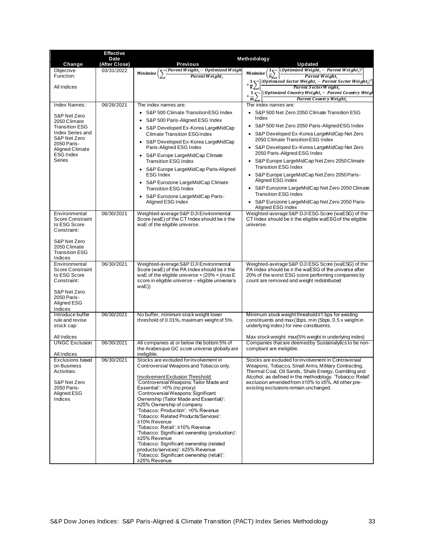| <b>Effective</b> |                                                                                                                                                                                                                                                                                                                                                                                                                                                                                                                                                               |                                                                                                                                                                                                                                                                                                                                                                                                                                                                                                                                                                                                                                                                   |
|------------------|---------------------------------------------------------------------------------------------------------------------------------------------------------------------------------------------------------------------------------------------------------------------------------------------------------------------------------------------------------------------------------------------------------------------------------------------------------------------------------------------------------------------------------------------------------------|-------------------------------------------------------------------------------------------------------------------------------------------------------------------------------------------------------------------------------------------------------------------------------------------------------------------------------------------------------------------------------------------------------------------------------------------------------------------------------------------------------------------------------------------------------------------------------------------------------------------------------------------------------------------|
|                  |                                                                                                                                                                                                                                                                                                                                                                                                                                                                                                                                                               | Methodology<br>Updated                                                                                                                                                                                                                                                                                                                                                                                                                                                                                                                                                                                                                                            |
|                  |                                                                                                                                                                                                                                                                                                                                                                                                                                                                                                                                                               | $\left[(Optimized \ Weight_i - Parent \ Weight_i\right)^2\right]$                                                                                                                                                                                                                                                                                                                                                                                                                                                                                                                                                                                                 |
|                  | Parent Weight,                                                                                                                                                                                                                                                                                                                                                                                                                                                                                                                                                | $\left(\frac{1}{n}\right)$<br>Minimize (<br>Parent Weight,<br><i>(Optimized Sector Weight<sub>i</sub></i> – Parent Sector Weight <sub>i</sub> ) <sup>2</sup>                                                                                                                                                                                                                                                                                                                                                                                                                                                                                                      |
|                  |                                                                                                                                                                                                                                                                                                                                                                                                                                                                                                                                                               | Parent Sector Weight,<br>$+\frac{1}{m}\sum_{i}\left[\frac{(Optimized\ Country\ Weight_{i}-Parent\ Country\ Weight_{i}}{n} - \{{length}\}\ \right]$                                                                                                                                                                                                                                                                                                                                                                                                                                                                                                                |
|                  |                                                                                                                                                                                                                                                                                                                                                                                                                                                                                                                                                               | Parent Country Weight.                                                                                                                                                                                                                                                                                                                                                                                                                                                                                                                                                                                                                                            |
| 06/26/2021       | The index names are:                                                                                                                                                                                                                                                                                                                                                                                                                                                                                                                                          | The index names are:                                                                                                                                                                                                                                                                                                                                                                                                                                                                                                                                                                                                                                              |
|                  | S&P 500 Climate Transition ESG Index<br>S&P 500 Paris-Aligned ESG Index<br>S&P Developed Ex-Korea LargeMidCap<br><b>Climate Transition ESG Index</b><br>• S&P Developed Ex-Korea LargeMidCap<br>Paris-Aligned ESG Index<br>S&P Europe LargeMidCap Climate<br><b>Transition ESG Index</b><br>• S&P Europe LargeMidCap Paris-Aligned<br><b>ESG Index</b><br>S&P Eurozone LargeMidCap Climate<br><b>Transition ESG Index</b><br>S&P Eurozone LargeMidCap Paris-<br>Aligned ESG Index                                                                             | S&P 500 Net Zero 2050 Climate Transition ESG<br>Index<br>S&P 500 Net Zero 2050 Paris-Aligned ESG Index<br>$\bullet$<br>S&P Developed Ex-Korea LargeMidCap Net Zero<br>$\bullet$<br>2050 Climate Transition ESG Index<br>S&P Developed Ex-Korea LargeMidCap Net Zero<br>$\bullet$<br>2050 Paris-Aligned ESG Index<br>S&P Europe LargeMidCap Net Zero 2050 Climate<br>$\bullet$<br><b>Transition ESG Index</b><br>S&P Europe LargeMidCap Net Zero 2050 Paris-<br>Aligned ESG Index<br>S&P Eurozone LargeMidCap Net Zero 2050 Climate<br>$\bullet$<br><b>Transition ESG Index</b><br>S&P Eurozone LargeMidCap Net Zero 2050 Paris-<br>$\bullet$<br>Aligned ESG Index |
| 06/30/2021       | Weighted-average S&P DJI Environmental<br>Score (waE) of the CT Index should be $\geq$ the<br>waE of the eligible universe.                                                                                                                                                                                                                                                                                                                                                                                                                                   | Weighted-average S&P DJIESG Score (waESG) of the<br>CT Index should be $\geq$ the eligible waESG of the eligible<br>universe.                                                                                                                                                                                                                                                                                                                                                                                                                                                                                                                                     |
|                  |                                                                                                                                                                                                                                                                                                                                                                                                                                                                                                                                                               | Weighted-average S&P DJIESG Score (waESG) of the                                                                                                                                                                                                                                                                                                                                                                                                                                                                                                                                                                                                                  |
|                  | Score (waE) of the PA Index should be ≥ the<br>waE of the eligible universe + $(20\% \times (maxE$<br>score in eligible universe - eligible universe's<br>waE))                                                                                                                                                                                                                                                                                                                                                                                               | PA Index should be ≥ the waESG of the universe after<br>20% of the worst ESG score performing companies by<br>count are removed and weight redistributed                                                                                                                                                                                                                                                                                                                                                                                                                                                                                                          |
| 06/30/2021       | No buffer, minimum stock weight lower<br>threshold of 0.01%, maximum weight of 5%.                                                                                                                                                                                                                                                                                                                                                                                                                                                                            | Minimum stock weight threshold≥1 bps for existing<br>constituents and max (1bps, min (5bps, 0.5 x weight in<br>underlying index) for new constituents.                                                                                                                                                                                                                                                                                                                                                                                                                                                                                                            |
|                  |                                                                                                                                                                                                                                                                                                                                                                                                                                                                                                                                                               | Max stock weight: max(5% weight in underlying index)                                                                                                                                                                                                                                                                                                                                                                                                                                                                                                                                                                                                              |
|                  | the Arabesque GC score universe globally are                                                                                                                                                                                                                                                                                                                                                                                                                                                                                                                  | Companies that are deemed by Sustainalytics to be non-<br>compliant are ineligible.                                                                                                                                                                                                                                                                                                                                                                                                                                                                                                                                                                               |
|                  | Controversial Weapons and Tobacco only.<br><b>Involvement Exclusion Threshold</b><br>'Controversial Weapons: Tailor Made and<br>Essential': >0% (no proxy)<br>'ControversialWeapons: Significant<br>Ownership (Tailor Made and Essential)':<br>≥25% Ownership of company<br>'Tobacco: Production': >0% Revenue<br>'Tobacco: Related Products/Services':<br>≥10% Revenue<br>'Tobacco: Retail': ≥10% Revenue<br>'Tobacco: Significant ownership (production)':<br>≥25% Revenue<br>'Tobacco: Significant ownership (related<br>products/services)': ≥25% Revenue | Stocks are excluded for involvement in Controversial<br>Weapons, Tobacco, Small Arms, Military Contracting,<br>Thermal Coal, Oil Sands, Shale Energy, Gambling and<br>Alcohol, as defined in the methodology. 'Tobacco: Retail'<br>exclusion amended from ≥10% to ≥5%. All other pre-<br>existing exclusions remain unchanged.                                                                                                                                                                                                                                                                                                                                    |
|                  | Date<br>(After Close)<br>03/31/2022<br>06/30/2021<br>06/30/2021<br>06/30/2021                                                                                                                                                                                                                                                                                                                                                                                                                                                                                 | <b>Previous</b><br>(Parent Weight, – Optimized Weigh<br>Minimize<br>Weighted-average S&P DJI Environmental<br>All companies at or below the bottom 5% of<br>ineligible.<br>Stocks are excluded for involvement in<br>'Tobacco: Significant ownership (retail)':<br>≥25% Revenue                                                                                                                                                                                                                                                                                                                                                                                   |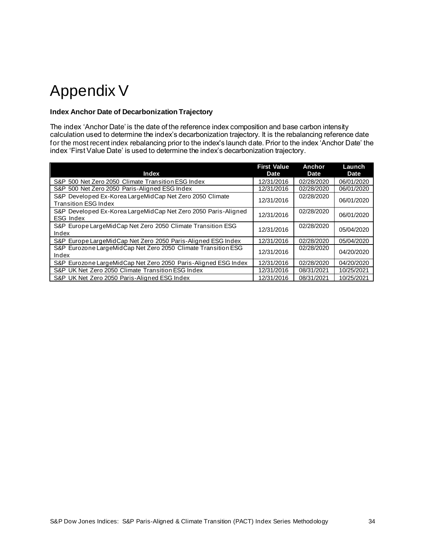## <span id="page-34-0"></span>Appendix V

### <span id="page-34-1"></span>**Index Anchor Date of Decarbonization Trajectory**

The index 'Anchor Date' is the date of the reference index composition and base carbon intensity calculation used to determine the index's decarbonization trajectory. It is the rebalancing reference date for the most recent index rebalancing prior to the index's launch date. Prior to the index 'Anchor Date' the index 'First Value Date' is used to determine the index's decarbonization trajectory.

| <b>Index</b>                                                                            | <b>First Value</b><br>Date | Anchor<br>Date | Launch<br><b>Date</b> |
|-----------------------------------------------------------------------------------------|----------------------------|----------------|-----------------------|
| S&P 500 Net Zero 2050 Climate Transition ESG Index                                      | 12/31/2016                 | 02/28/2020     | 06/01/2020            |
| S&P 500 Net Zero 2050 Paris-Alianed ESG Index                                           | 12/31/2016                 | 02/28/2020     | 06/01/2020            |
| S&P Developed Ex-Korea LargeMidCap Net Zero 2050 Climate<br><b>Transition ESG Index</b> | 12/31/2016                 | 02/28/2020     | 06/01/2020            |
| S&P Developed Ex-Korea LargeMidCap Net Zero 2050 Paris-Aligned<br><b>ESG Index</b>      | 12/31/2016                 | 02/28/2020     | 06/01/2020            |
| S&P Europe LargeMidCap Net Zero 2050 Climate Transition ESG<br>Index                    | 12/31/2016                 | 02/28/2020     | 05/04/2020            |
| S&P Europe Large Mid Cap Net Zero 2050 Paris-Aligned ESG Index                          | 12/31/2016                 | 02/28/2020     | 05/04/2020            |
| S&P Eurozone LargeMidCap Net Zero 2050 Climate Transition ESG<br>Index                  | 12/31/2016                 | 02/28/2020     | 04/20/2020            |
| S&P Eurozone LargeMidCap Net Zero 2050 Paris-Aligned ESG Index                          | 12/31/2016                 | 02/28/2020     | 04/20/2020            |
| S&P UK Net Zero 2050 Climate Transition ESG Index                                       | 12/31/2016                 | 08/31/2021     | 10/25/2021            |
| S&P UK Net Zero 2050 Paris-Aligned ESG Index                                            | 12/31/2016                 | 08/31/2021     | 10/25/2021            |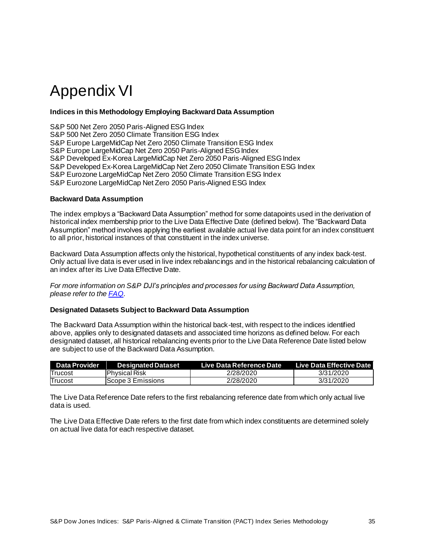### <span id="page-35-0"></span>Appendix VI

### <span id="page-35-1"></span>**Indices in this Methodology Employing Backward Data Assumption**

S&P 500 Net Zero 2050 Paris-Aligned ESG Index S&P 500 Net Zero 2050 Climate Transition ESG Index S&P Europe LargeMidCap Net Zero 2050 Climate Transition ESG Index S&P Europe LargeMidCap Net Zero 2050 Paris-Aligned ESG Index S&P Developed Ex-Korea LargeMidCap Net Zero 2050 Paris-Aligned ESG Index S&P Developed Ex-Korea LargeMidCap Net Zero 2050 Climate Transition ESG Index S&P Eurozone LargeMidCap Net Zero 2050 Climate Transition ESG Index S&P Eurozone LargeMidCap Net Zero 2050 Paris-Aligned ESG Index

### <span id="page-35-2"></span>**Backward Data Assumption**

The index employs a "Backward Data Assumption" method for some datapoints used in the derivation of historical index membership prior to the Live Data Effective Date (defined below). The "Backward Data Assumption" method involves applying the earliest available actual live data point for an index constituent to all prior, historical instances of that constituent in the index universe.

Backward Data Assumption affects only the historical, hypothetical constituents of any index back-test. Only actual live data is ever used in live index rebalancings and in the historical rebalancing calculation of an index after its Live Data Effective Date.

*For more information on S&P DJI's principles and processes for using Backward Data Assumption, please refer to the [FAQ](https://www.spglobal.com/spdji/en/education/article/faq-esg-back-testing-backward-data-assumption-overview/)*.

#### <span id="page-35-3"></span>**Designated Datasets Subject to Backward Data Assumption**

The Backward Data Assumption within the historical back-test, with respect to the indices identified above, applies only to designated datasets and associated time horizons as defined below. For each designated dataset, all historical rebalancing events prior to the Live Data Reference Date listed below are subject to use of the Backward Data Assumption.

| <b>Data Provider</b> | <b>Designated Dataset</b> | Live Data Reference Date | Live Data Effective Date I |
|----------------------|---------------------------|--------------------------|----------------------------|
| Trucost              | lPhysical Risk            | 2/28/2020                | 3/31/2020                  |
| Trucost              | IScope 3 Emissions        | 2/28/2020                | 3/31/2020                  |

The Live Data Reference Date refers to the first rebalancing reference date from which only actual live data is used.

The Live Data Effective Date refers to the first date from which index constituents are determined solely on actual live data for each respective dataset.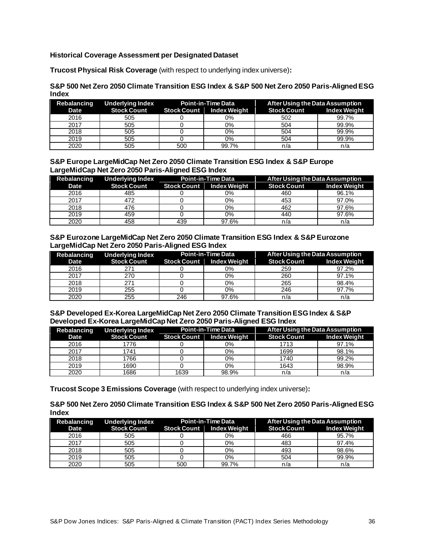### <span id="page-36-0"></span>**Historical Coverage Assessment per Designated Dataset**

**Trucost Physical Risk Coverage** (with respect to underlying index universe)**:**

### **S&P 500 Net Zero 2050 Climate Transition ESG Index & S&P 500 Net Zero 2050 Paris-Aligned ESG Index**

|      | Rebalancing Underlying Index           | <b>Point-in-Time Data</b> |       | After Using the Data Assumption |                     |
|------|----------------------------------------|---------------------------|-------|---------------------------------|---------------------|
| Date | Stock Count Stock Count   Index Weight |                           |       | <b>Stock Count</b>              | <b>Index Weight</b> |
| 2016 | 505                                    |                           | 0%    | 502                             | 99.7%               |
| 2017 | 505                                    |                           | 0%    | 504                             | 99.9%               |
| 2018 | 505                                    |                           | 0%    | 504                             | 99.9%               |
| 2019 | 505                                    |                           | 0%    | 504                             | 99.9%               |
| 2020 | 505                                    | 500                       | 99.7% | n/a                             | n/a                 |

### **S&P Europe LargeMidCap Net Zero 2050 Climate Transition ESG Index & S&P Europe LargeMidCap Net Zero 2050 Paris-Aligned ESG Index**

| Rebalancing | Underlying Index                       | Point-in-Time Data |       | After Using the Data Assumption |                     |
|-------------|----------------------------------------|--------------------|-------|---------------------------------|---------------------|
| Date        | Stock Count Stock Count   Index Weight |                    |       | <b>Stock Count</b>              | <b>Index Weight</b> |
| 2016        | 485                                    |                    | 0%    | 460                             | 96.1%               |
| 2017        | 472                                    |                    | 0%    | 453                             | 97.0%               |
| 2018        | 476                                    |                    | 0%    | 462                             | 97.6%               |
| 2019        | 459                                    |                    | 0%    | 440                             | 97.6%               |
| 2020        | 458                                    | 439                | 97.6% | n/a                             | n/a                 |

### **S&P Eurozone LargeMidCap Net Zero 2050 Climate Transition ESG Index & S&P Eurozone LargeMidCap Net Zero 2050 Paris-Aligned ESG Index**

| Rebalancing | <b>Underlying Index</b>                | <b>Point-in-Time Data</b> |       | After Using the Data Assumption |                     |
|-------------|----------------------------------------|---------------------------|-------|---------------------------------|---------------------|
| Date        | Stock Count Stock Count   Index Weight |                           |       | <b>Stock Count</b>              | <b>Index Weight</b> |
| 2016        | 271                                    |                           | 0%    | 259                             | 97.2%               |
| 2017        | 270                                    |                           | 0%    | 260                             | 97.1%               |
| 2018        | 271                                    |                           | 0%    | 265                             | 98.4%               |
| 2019        | 255                                    |                           | 0%    | 246                             | 97.7%               |
| 2020        | 255                                    | 246                       | 97.6% | n/a                             | n/a                 |

#### **S&P Developed Ex-Korea LargeMidCap Net Zero 2050 Climate Transition ESG Index & S&P Developed Ex-Korea LargeMidCap Net Zero 2050 Paris-Aligned ESG Index**

| Rebalancing | <b>Underlying Index</b> | <b>Point-in-Time Data</b> |                                 | After Using the Data Assumption |              |
|-------------|-------------------------|---------------------------|---------------------------------|---------------------------------|--------------|
| Date        | <b>Stock Count</b>      |                           | <b>Stock Count</b> Index Weight | <b>Stock Count</b>              | Index Weight |
| 2016        | 1776                    |                           | 0%                              | 1713                            | 97.1%        |
| 2017        | 1741                    |                           | $0\%$                           | 1699                            | 98.1%        |
| 2018        | 1766                    |                           | 0%                              | 1740                            | 99.2%        |
| 2019        | 1690                    |                           | $0\%$                           | 1643                            | 98.9%        |
| 2020        | 1686                    | 1639                      | 98.9%                           | n/a                             | n/a          |

**Trucost Scope 3 Emissions Coverage** (with respect to underlying index universe)**:**

### **S&P 500 Net Zero 2050 Climate Transition ESG Index & S&P 500 Net Zero 2050 Paris-Aligned ESG Index**

| Rebalancing | <b>Underlying Index</b> | Point-in-Time Data |                            | After Using the Data Assumption |              |
|-------------|-------------------------|--------------------|----------------------------|---------------------------------|--------------|
| Date        | <b>Stock Count</b>      |                    | Stock Count   Index Weight | <b>Stock Count</b>              | Index Weight |
| 2016        | 505                     |                    | 0%                         | 466                             | 95.7%        |
| 2017        | 505                     |                    | 0%                         | 483                             | 97.4%        |
| 2018        | 505                     |                    | 0%                         | 493                             | 98.6%        |
| 2019        | 505                     |                    | 0%                         | 504                             | 99.9%        |
| 2020        | 505                     | 500                | 99.7%                      | n/a                             | n/a          |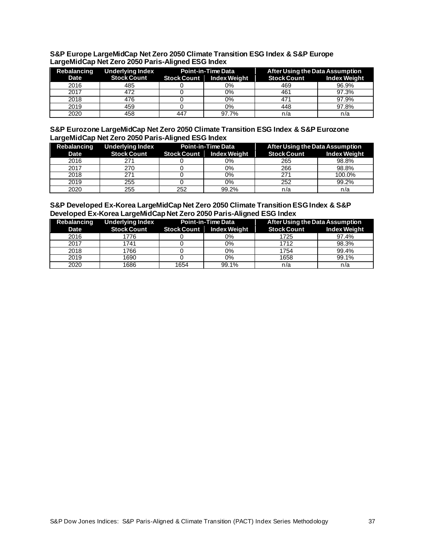| S&P Europe LargeMidCap Net Zero 2050 Climate Transition ESG Index & S&P Europe |  |
|--------------------------------------------------------------------------------|--|
| LargeMidCap Net Zero 2050 Paris-Aligned ESG Index                              |  |
|                                                                                |  |

| Rebalancing | <b>Underlying Index</b> | <b>Point-in-Time Data</b> |                     | After Using the Data Assumption |                     |
|-------------|-------------------------|---------------------------|---------------------|---------------------------------|---------------------|
| Date        | <b>Stock Count</b>      | Stock Count               | <b>Index Weight</b> | <b>Stock Count</b>              | <b>Index Weight</b> |
| 2016        | 485                     |                           | 0%                  | 469                             | 96.9%               |
| 2017        | 472                     |                           | 0%                  | 461                             | 97.3%               |
| 2018        | 476                     |                           | 0%                  | 471                             | 97.9%               |
| 2019        | 459                     |                           | 0%                  | 448                             | 97.8%               |
| 2020        | 458                     | 447                       | 97.7%               | n/a                             | n/a                 |

**S&P Eurozone LargeMidCap Net Zero 2050 Climate Transition ESG Index & S&P Eurozone LargeMidCap Net Zero 2050 Paris-Aligned ESG Index**

| Rebalancing | <b>Underlying Index</b>                | Point-in-Time Data |       | After Using the Data Assumption |                     |
|-------------|----------------------------------------|--------------------|-------|---------------------------------|---------------------|
| Date        | Stock Count Stock Count   Index Weight |                    |       | <b>Stock Count</b>              | <b>Index Weight</b> |
| 2016        | 271                                    |                    | 0%    | 265                             | 98.8%               |
| 2017        | 270                                    |                    | 0%    | 266                             | 98.8%               |
| 2018        | 271                                    |                    | 0%    | 271                             | 100.0%              |
| 2019        | 255                                    |                    | 0%    | 252                             | 99.2%               |
| 2020        | 255                                    | 252                | 99.2% | n/a                             | n/a                 |

| S&P Developed Ex-Korea LargeMidCap Net Zero 2050 Climate Transition ESG Index & S&P |  |
|-------------------------------------------------------------------------------------|--|
| Developed Ex-Korea LargeMidCap Net Zero 2050 Paris-Aligned ESG Index                |  |

| Rebalancing | <b>Underlying Index</b> | <b>Point-in-Time Data</b> |              | After Using the Data Assumption |                     |
|-------------|-------------------------|---------------------------|--------------|---------------------------------|---------------------|
| Date        | <b>Stock Count</b>      | <b>Stock Count</b>        | Index Weight | <b>Stock Count</b>              | <b>Index Weight</b> |
| 2016        | 1776                    |                           | 0%           | 1725                            | 97.4%               |
| 2017        | 1741                    |                           | 0%           | 1712                            | 98.3%               |
| 2018        | 1766                    |                           | 0%           | 1754                            | 99.4%               |
| 2019        | 1690                    |                           | 0%           | 1658                            | 99.1%               |
| 2020        | 1686                    | 1654                      | 99.1%        | n/a                             | n/a                 |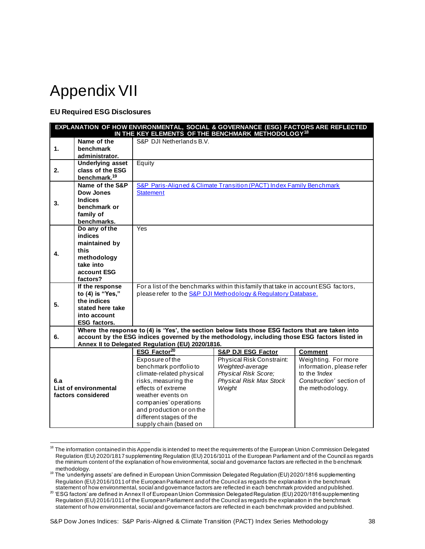### <span id="page-38-0"></span>Appendix VII

### <span id="page-38-1"></span>**EU Required ESG Disclosures**

| EXPLANATION OF HOW ENVIRONMENTAL, SOCIAL & GOVERNANCE (ESG) FACTORS ARE REFLECTED<br>IN THE KEY ELEMENTS OF THE BENCHMARK METHODOLOGY <sup>18</sup>                                                                                                          |                                                                                                               |                                                                                                                                                                                                                                                    |                                                                                                                                                     |                                                                                                                          |
|--------------------------------------------------------------------------------------------------------------------------------------------------------------------------------------------------------------------------------------------------------------|---------------------------------------------------------------------------------------------------------------|----------------------------------------------------------------------------------------------------------------------------------------------------------------------------------------------------------------------------------------------------|-----------------------------------------------------------------------------------------------------------------------------------------------------|--------------------------------------------------------------------------------------------------------------------------|
| 1.                                                                                                                                                                                                                                                           | Name of the<br>benchmark<br>administrator.                                                                    | S&P DJI Netherlands B.V.                                                                                                                                                                                                                           |                                                                                                                                                     |                                                                                                                          |
| 2.                                                                                                                                                                                                                                                           | <b>Underlying asset</b><br>class of the ESG<br>benchmark. <sup>19</sup>                                       | Equity                                                                                                                                                                                                                                             |                                                                                                                                                     |                                                                                                                          |
| 3.                                                                                                                                                                                                                                                           | Name of the S&P<br><b>Dow Jones</b><br><b>Indices</b><br>benchmark or<br>family of<br>benchmarks.             | <b>Statement</b>                                                                                                                                                                                                                                   | S&P Paris-Aligned & Climate Transition (PACT) Index Family Benchmark                                                                                |                                                                                                                          |
| 4.                                                                                                                                                                                                                                                           | Do any of the<br>indices<br>maintained by<br>this<br>methodology<br>take into<br>account ESG<br>factors?      | Yes                                                                                                                                                                                                                                                |                                                                                                                                                     |                                                                                                                          |
| 5.                                                                                                                                                                                                                                                           | If the response<br>to (4) is "Yes,"<br>the indices<br>stated here take<br>into account<br><b>ESG factors.</b> |                                                                                                                                                                                                                                                    | For a list of the benchmarks within this family that take in account ESG factors,<br>please refer to the S&P DJI Methodology & Regulatory Database. |                                                                                                                          |
| Where the response to (4) is 'Yes', the section below lists those ESG factors that are taken into<br>account by the ESG indices governed by the methodology, including those ESG factors listed in<br>6.<br>Annex II to Delegated Regulation (EU) 2020/1816. |                                                                                                               |                                                                                                                                                                                                                                                    |                                                                                                                                                     |                                                                                                                          |
|                                                                                                                                                                                                                                                              |                                                                                                               | ESG Factor <sup>20</sup>                                                                                                                                                                                                                           | <b>S&amp;P DJI ESG Factor</b>                                                                                                                       | <b>Comment</b>                                                                                                           |
| 6.а<br>List of environmental<br>factors considered                                                                                                                                                                                                           |                                                                                                               | Exposure of the<br>benchmark portfolio to<br>climate-related physical<br>risks, measuring the<br>effects of extreme<br>weather events on<br>companies' operations<br>and production or on the<br>different stages of the<br>supply chain (based on | Physical Risk Constraint:<br>Weighted-average<br>Physical Risk Score;<br>Physical Risk Max Stock<br>Weight                                          | Weighting. For more<br>information, please refer<br>to the <i>'Index</i><br>Construction' section of<br>the methodology. |

<sup>&</sup>lt;sup>18</sup> The information contained in this Appendix is intended to meet the requirements of the European Union Commission Delegated Regulation (EU) 2020/1817 supplementing Regulation (EU) 2016/1011 of the European Parliament and of the Council as regards the minimum content of the explanation of how environmental, social and governance factors are reflected in the b enchmark methodology.

<sup>19</sup> The 'underlying assets' are defined in European Union Commission Delegated Regulation (EU) 2020/1816 supplementing Regulation (EU) 2016/1011 of the European Parliament and of the Council as regards the explanation in the benchmark statement of how environmental, social and governance factors are reflected in each benchmark provided and published.

<sup>20 &#</sup>x27;ESG factors' are defined in Annex II of European Union Commission Delegated Regulation (EU) 2020/1816 supplementing Regulation (EU) 2016/1011 of the European Parliament and of the Council as regards the explanation in the benchmark statement of how environmental, social and governance factors are reflected in each benchmark provided and published.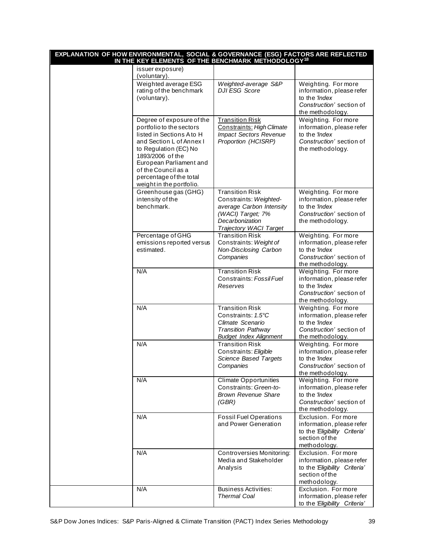| EXPLANATION OF HOW ENVIRONMENTAL, SOCIAL & GOVERNANCE (ESG) FACTORS ARE REFLECTED<br>IN THE KEY ELEMENTS OF THE BENCHMARK METHODOLOGY <sup>18</sup> |                                                                                                                                                                                                                                                                      |                                                                                                                                                |                                                                                                                          |
|-----------------------------------------------------------------------------------------------------------------------------------------------------|----------------------------------------------------------------------------------------------------------------------------------------------------------------------------------------------------------------------------------------------------------------------|------------------------------------------------------------------------------------------------------------------------------------------------|--------------------------------------------------------------------------------------------------------------------------|
|                                                                                                                                                     | issuer exposure)<br>(voluntary).                                                                                                                                                                                                                                     |                                                                                                                                                |                                                                                                                          |
|                                                                                                                                                     | Weighted average ESG<br>rating of the benchmark<br>(voluntary).                                                                                                                                                                                                      | Weighted-average S&P<br><b>DJI ESG Score</b>                                                                                                   | Weighting. For more<br>information, please refer<br>to the 'Index<br>Construction' section of<br>the methodology.        |
|                                                                                                                                                     | Degree of exposure of the<br>portfolio to the sectors<br>listed in Sections A to H<br>and Section L of Annex I<br>to Regulation (EC) No<br>1893/2006 of the<br>European Parliament and<br>of the Council as a<br>percentage of the total<br>weight in the portfolio. | <b>Transition Risk</b><br>Constraints: High Climate<br><b>Impact Sectors Revenue</b><br>Proportion (HCISRP)                                    | Weighting. For more<br>information, please refer<br>to the <i>'Index</i><br>Construction' section of<br>the methodology. |
|                                                                                                                                                     | Greenhouse gas (GHG)<br>intensity of the<br>benchmark.                                                                                                                                                                                                               | <b>Transition Risk</b><br>Constraints: Weighted-<br>average Carbon Intensity<br>(WACI) Target; 7%<br>Decarbonization<br>Trajectory WACI Target | Weighting. For more<br>information, please refer<br>to the 'Index<br>Construction' section of<br>the methodology.        |
|                                                                                                                                                     | Percentage of GHG<br>emissions reported versus<br>estimated.                                                                                                                                                                                                         | <b>Transition Risk</b><br>Constraints: Weight of<br>Non-Disclosing Carbon<br>Companies                                                         | Weighting. For more<br>information, please refer<br>to the 'Index<br>Construction' section of<br>the methodology.        |
|                                                                                                                                                     | N/A                                                                                                                                                                                                                                                                  | <b>Transition Risk</b><br>Constraints: Fossil Fuel<br>Reserves                                                                                 | Weighting. For more<br>information, please refer<br>to the 'Index<br>Construction' section of<br>the methodology.        |
|                                                                                                                                                     | N/A                                                                                                                                                                                                                                                                  | <b>Transition Risk</b><br>Constraints: 1.5°C<br>Climate Scenario<br><b>Transition Pathway</b><br><b>Budget Index Alignment</b>                 | Weighting. For more<br>information, please refer<br>to the 'Index<br>Construction' section of<br>the methodology.        |
|                                                                                                                                                     | N/A                                                                                                                                                                                                                                                                  | <b>Transition Risk</b><br>Constraints: Eligible<br>Science Based Targets<br>Companies                                                          | Weighting. For more<br>information, please refer<br>to the <i>'Index</i><br>Construction' section of<br>the methodology. |
|                                                                                                                                                     | N/A                                                                                                                                                                                                                                                                  | <b>Climate Opportunities</b><br>Constraints: Green-to-<br><b>Brown Revenue Share</b><br>(GBR)                                                  | Weighting. For more<br>information, please refer<br>to the 'Index<br>Construction' section of<br>the methodology.        |
|                                                                                                                                                     | N/A                                                                                                                                                                                                                                                                  | <b>Fossil Fuel Operations</b><br>and Power Generation                                                                                          | Exclusion. For more<br>information, please refer<br>to the 'Eligibility Criteria'<br>section of the<br>methodology.      |
|                                                                                                                                                     | N/A                                                                                                                                                                                                                                                                  | Controversies Monitoring:<br>Media and Stakeholder<br>Analysis                                                                                 | Exclusion. For more<br>information, please refer<br>to the 'Eligibility Criteria'<br>section of the<br>methodology.      |
|                                                                                                                                                     | N/A                                                                                                                                                                                                                                                                  | <b>Business Activities:</b><br><b>Thermal Coal</b>                                                                                             | Exclusion. For more<br>information, please refer<br>to the 'Eligibility Criteria'                                        |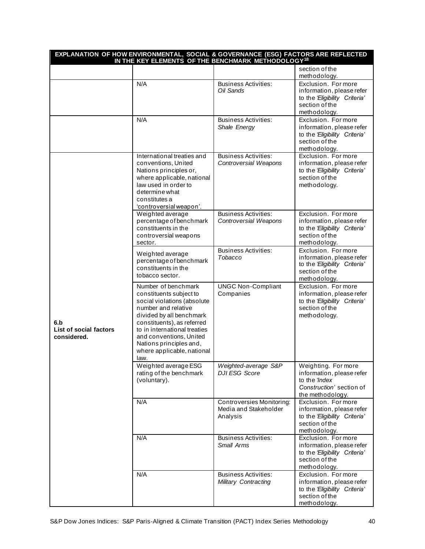|                                              | EXPLANATION OF HOW ENVIRONMENTAL, SOCIAL & GOVERNANCE (ESG) FACTORS ARE REFLECTED<br>IN THE KEY ELEMENTS OF THE BENCHMARK METHODOLOGY <sup>18</sup>                                                                                                                                        |                                                                       |                                                                                                                     |
|----------------------------------------------|--------------------------------------------------------------------------------------------------------------------------------------------------------------------------------------------------------------------------------------------------------------------------------------------|-----------------------------------------------------------------------|---------------------------------------------------------------------------------------------------------------------|
|                                              |                                                                                                                                                                                                                                                                                            |                                                                       | section of the<br>methodology.                                                                                      |
|                                              | N/A                                                                                                                                                                                                                                                                                        | <b>Business Activities:</b><br>Oil Sands                              | Exclusion. For more<br>information, please refer<br>to the 'Eligibility Criteria'<br>section of the<br>methodology. |
|                                              | N/A                                                                                                                                                                                                                                                                                        | <b>Business Activities:</b><br>Shale Energy                           | Exclusion. For more<br>information, please refer<br>to the 'Eligibility Criteria'<br>section of the<br>methodology. |
|                                              | International treaties and<br>conventions, United<br>Nations principles or,<br>where applicable, national<br>law used in order to<br>determine what<br>constitutes a<br>'controversial weapon'.                                                                                            | <b>Business Activities:</b><br>Controversial Weapons                  | Exclusion. For more<br>information, please refer<br>to the 'Eligibility Criteria'<br>section of the<br>methodology. |
|                                              | Weighted average<br>percentage of benchmark<br>constituents in the<br>controversial weapons<br>sector.                                                                                                                                                                                     | <b>Business Activities:</b><br>Controversial Weapons                  | Exclusion. For more<br>information, please refer<br>to the 'Eligibility Criteria'<br>section of the<br>methodology. |
|                                              | Weighted average<br>percentage of benchmark<br>constituents in the<br>tobacco sector.                                                                                                                                                                                                      | <b>Business Activities:</b><br>Tobacco                                | Exclusion. For more<br>information, please refer<br>to the 'Eligibility Criteria'<br>section of the<br>methodology. |
| 6.b<br>List of social factors<br>considered. | Number of benchmark<br>constituents subject to<br>social violations (absolute<br>number and relative<br>divided by all benchmark<br>constituents), as referred<br>to in international treaties<br>and conventions, United<br>Nations principles and,<br>where applicable, national<br>law. | <b>UNGC Non-Compliant</b><br>Companies                                | Exclusion. For more<br>information, please refer<br>to the 'Eligibility Criteria'<br>section of the<br>methodology. |
|                                              | Weighted average ESG<br>rating of the benchmark<br>(voluntary).                                                                                                                                                                                                                            | Weighted-average S&P<br><b>DJI ESG Score</b>                          | Weighting. For more<br>information, please refer<br>to the 'Index<br>Construction' section of<br>the methodology.   |
|                                              | N/A                                                                                                                                                                                                                                                                                        | <b>Controversies Monitoring:</b><br>Media and Stakeholder<br>Analysis | Exclusion. For more<br>information, please refer<br>to the 'Eligibility Criteria'<br>section of the<br>methodology. |
|                                              | N/A                                                                                                                                                                                                                                                                                        | <b>Business Activities:</b><br>Small Arms                             | Exclusion. For more<br>information, please refer<br>to the 'Eligibility Criteria'<br>section of the<br>methodology. |
|                                              | N/A                                                                                                                                                                                                                                                                                        | <b>Business Activities:</b><br>Military Contracting                   | Exclusion. For more<br>information, please refer<br>to the 'Eligibility Criteria'<br>section of the<br>methodology. |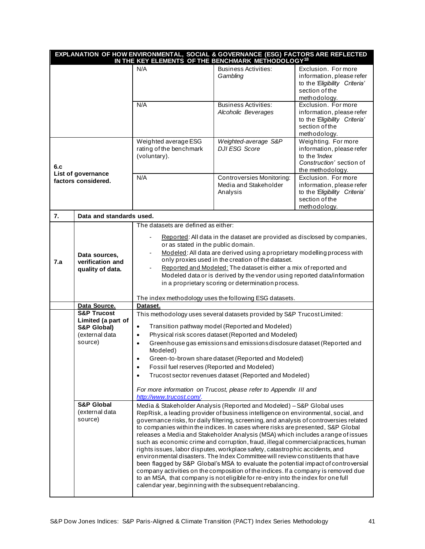|                                           |                                                                                          | EXPLANATION OF HOW ENVIRONMENTAL, SOCIAL & GOVERNANCE (ESG) FACTORS ARE REFLECTED<br>IN THE KEY ELEMENTS OF THE BENCHMARK METHODOLOGY <sup>18</sup>                                                                                                                                                                                                                                                                                                                                                                                                                                                        |                                                                                                                                                                                                                                                                                                                                                                                                                                                                                                                                                                                                                                                                                                                                                                                                                                                                                                                                                                                                                   |                                                                                                                     |
|-------------------------------------------|------------------------------------------------------------------------------------------|------------------------------------------------------------------------------------------------------------------------------------------------------------------------------------------------------------------------------------------------------------------------------------------------------------------------------------------------------------------------------------------------------------------------------------------------------------------------------------------------------------------------------------------------------------------------------------------------------------|-------------------------------------------------------------------------------------------------------------------------------------------------------------------------------------------------------------------------------------------------------------------------------------------------------------------------------------------------------------------------------------------------------------------------------------------------------------------------------------------------------------------------------------------------------------------------------------------------------------------------------------------------------------------------------------------------------------------------------------------------------------------------------------------------------------------------------------------------------------------------------------------------------------------------------------------------------------------------------------------------------------------|---------------------------------------------------------------------------------------------------------------------|
|                                           |                                                                                          | N/A                                                                                                                                                                                                                                                                                                                                                                                                                                                                                                                                                                                                        | <b>Business Activities:</b><br>Gambling                                                                                                                                                                                                                                                                                                                                                                                                                                                                                                                                                                                                                                                                                                                                                                                                                                                                                                                                                                           | Exclusion. For more<br>information, please refer<br>to the 'Eligibility Criteria'<br>section of the<br>methodology. |
|                                           |                                                                                          | N/A                                                                                                                                                                                                                                                                                                                                                                                                                                                                                                                                                                                                        | <b>Business Activities:</b><br>Alcoholic Beverages                                                                                                                                                                                                                                                                                                                                                                                                                                                                                                                                                                                                                                                                                                                                                                                                                                                                                                                                                                | Exclusion. For more<br>information, please refer<br>to the 'Eligibility Criteria'<br>section of the<br>methodology. |
| 6.c                                       |                                                                                          | Weighted average ESG<br>rating of the benchmark<br>(voluntary).                                                                                                                                                                                                                                                                                                                                                                                                                                                                                                                                            | Weighted-average S&P<br><b>DJI ESG Score</b>                                                                                                                                                                                                                                                                                                                                                                                                                                                                                                                                                                                                                                                                                                                                                                                                                                                                                                                                                                      | Weighting. For more<br>information, please refer<br>to the 'Index<br>Construction' section of<br>the methodology.   |
| List of governance<br>factors considered. |                                                                                          | N/A                                                                                                                                                                                                                                                                                                                                                                                                                                                                                                                                                                                                        | Controversies Monitoring:<br>Media and Stakeholder<br>Analysis                                                                                                                                                                                                                                                                                                                                                                                                                                                                                                                                                                                                                                                                                                                                                                                                                                                                                                                                                    | Exclusion. For more<br>information, please refer<br>to the 'Eligibility Criteria'<br>section of the<br>methodology. |
| 7.                                        | Data and standards used.                                                                 |                                                                                                                                                                                                                                                                                                                                                                                                                                                                                                                                                                                                            |                                                                                                                                                                                                                                                                                                                                                                                                                                                                                                                                                                                                                                                                                                                                                                                                                                                                                                                                                                                                                   |                                                                                                                     |
| 7.a                                       | Data sources,<br>verification and<br>quality of data.                                    | The datasets are defined as either:<br>Reported: All data in the dataset are provided as disclosed by companies,<br>or as stated in the public domain.<br>Modeled: All data are derived using a proprietary modelling process with<br>only proxies used in the creation of the dataset.<br>Reported and Modeled: The dataset is either a mix of reported and<br>$\overline{\phantom{a}}$<br>Modeled data or is derived by the vendor using reported data/information<br>in a proprietary scoring or determination process.<br>The index methodology uses the following ESG datasets.                       |                                                                                                                                                                                                                                                                                                                                                                                                                                                                                                                                                                                                                                                                                                                                                                                                                                                                                                                                                                                                                   |                                                                                                                     |
|                                           | Data Source.                                                                             | Dataset.                                                                                                                                                                                                                                                                                                                                                                                                                                                                                                                                                                                                   |                                                                                                                                                                                                                                                                                                                                                                                                                                                                                                                                                                                                                                                                                                                                                                                                                                                                                                                                                                                                                   |                                                                                                                     |
|                                           | <b>S&amp;P Trucost</b><br>Limited (a part of<br>S&P Global)<br>(external data<br>source) | This methodology uses several datasets provided by S&P Trucost Limited:<br>Transition pathway model (Reported and Modeled)<br>$\bullet$<br>Physical risk scores dataset (Reported and Modeled)<br>$\bullet$<br>Greenhouse gas emissions and emissions disclosure dataset (Reported and<br>$\bullet$<br>Modeled)<br>Green-to-brown share dataset (Reported and Modeled)<br>Fossil fuel reserves (Reported and Modeled)<br>$\bullet$<br>Trucost sector revenues dataset (Reported and Modeled)<br>$\bullet$<br>For more information on Trucost, please refer to Appendix III and<br>http://www.trucost.com/. |                                                                                                                                                                                                                                                                                                                                                                                                                                                                                                                                                                                                                                                                                                                                                                                                                                                                                                                                                                                                                   |                                                                                                                     |
|                                           | <b>S&amp;P Global</b><br>(external data<br>source)                                       |                                                                                                                                                                                                                                                                                                                                                                                                                                                                                                                                                                                                            | Media & Stakeholder Analysis (Reported and Modeled) - S&P Global uses<br>RepRisk, a leading provider of business intelligence on environmental, social, and<br>governance risks, for daily filtering, screening, and analysis of controversies related<br>to companies within the indices. In cases where risks are presented, S&P Global<br>releases a Media and Stakeholder Analysis (MSA) which includes a range of issues<br>such as economic crime and corruption, fraud, illegal commercial practices, human<br>rights issues, labor disputes, workplace safety, catastrophic accidents, and<br>environmental disasters. The Index Committee will review constituents that have<br>been flagged by S&P Global's MSA to evaluate the potential impact of controversial<br>company activities on the composition of the indices. If a company is removed due<br>to an MSA, that company is not eligible for re-entry into the index for one full<br>calendar year, beginning with the subsequent rebalancing. |                                                                                                                     |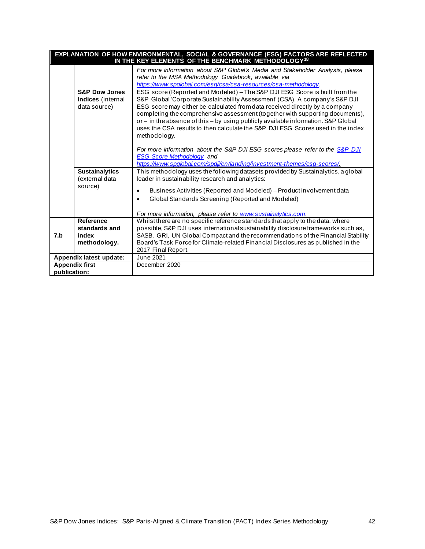| EXPLANATION OF HOW ENVIRONMENTAL, SOCIAL & GOVERNANCE (ESG) FACTORS ARE REFLECTED<br>IN THE KEY ELEMENTS OF THE BENCHMARK METHODOLOGY <sup>18</sup> |                                                               |                                                                                                                                                                                                                                                                                                                                                                                                                                                                                                                   |  |
|-----------------------------------------------------------------------------------------------------------------------------------------------------|---------------------------------------------------------------|-------------------------------------------------------------------------------------------------------------------------------------------------------------------------------------------------------------------------------------------------------------------------------------------------------------------------------------------------------------------------------------------------------------------------------------------------------------------------------------------------------------------|--|
|                                                                                                                                                     |                                                               | For more information about S&P Global's Media and Stakeholder Analysis, please<br>refer to the MSA Methodology Guidebook, available via<br>https://www.spglobal.com/esg/csa/csa-resources/csa-methodology.                                                                                                                                                                                                                                                                                                        |  |
|                                                                                                                                                     | <b>S&amp;P Dow Jones</b><br>Indices (internal<br>data source) | ESG score (Reported and Modeled) - The S&P DJI ESG Score is built from the<br>S&P Global 'Corporate Sustainability Assessment' (CSA). A company's S&P DJI<br>ESG score may either be calculated from data received directly by a company<br>completing the comprehensive assessment (together with supporting documents),<br>or - in the absence of this - by using publicly available information. S&P Global<br>uses the CSA results to then calculate the S&P DJI ESG Scores used in the index<br>methodology. |  |
|                                                                                                                                                     |                                                               | For more information about the S&P DJI ESG scores please refer to the S&P DJI<br><b>ESG Score Methodology and</b><br>https://www.spglobal.com/spdji/en/landing/investment-themes/esq-scores/.                                                                                                                                                                                                                                                                                                                     |  |
|                                                                                                                                                     | <b>Sustainalytics</b><br>(external data                       | This methodology uses the following datasets provided by Sustainalytics, a global<br>leader in sustainability research and analytics:                                                                                                                                                                                                                                                                                                                                                                             |  |
|                                                                                                                                                     | source)                                                       | Business Activities (Reported and Modeled) - Product involvement data<br>Global Standards Screening (Reported and Modeled)<br>$\bullet$<br>For more information, please refer to www.sustainalytics.com.                                                                                                                                                                                                                                                                                                          |  |
| 7.b                                                                                                                                                 | Reference<br>standards and<br>index<br>methodology.           | Whilst there are no specific reference standards that apply to the data, where<br>possible, S&P DJI uses international sustainability disclosure frameworks such as,<br>SASB, GRI, UN Global Compact and the recommendations of the Financial Stability<br>Board's Task Force for Climate-related Financial Disclosures as published in the<br>2017 Final Report.                                                                                                                                                 |  |
|                                                                                                                                                     | Appendix latest update:                                       | June 2021                                                                                                                                                                                                                                                                                                                                                                                                                                                                                                         |  |
| <b>Appendix first</b>                                                                                                                               |                                                               | December 2020                                                                                                                                                                                                                                                                                                                                                                                                                                                                                                     |  |
| publication:                                                                                                                                        |                                                               |                                                                                                                                                                                                                                                                                                                                                                                                                                                                                                                   |  |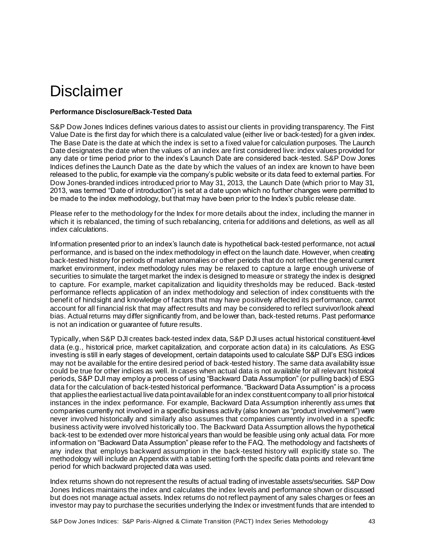### <span id="page-43-0"></span>Disclaimer

### <span id="page-43-1"></span>**Performance Disclosure/Back-Tested Data**

S&P Dow Jones Indices defines various dates to assist our clients in providing transparency. The First Value Date is the first day for which there is a calculated value (either live or back-tested) for a given index. The Base Date is the date at which the index is set to a fixed value for calculation purposes. The Launch Date designates the date when the values of an index are first considered live: index values provided for any date or time period prior to the index's Launch Date are considered back -tested. S&P Dow Jones Indices defines the Launch Date as the date by which the values of an index are known to have been released to the public, for example via the company's public website or its data feed to external parties. For Dow Jones-branded indices introduced prior to May 31, 2013, the Launch Date (which prior to May 31, 2013, was termed "Date of introduction") is set at a date upon which no further changes were permitted to be made to the index methodology, but that may have been prior to the Index's public release date.

Please refer to the methodology for the Index for more details about the index, including the manner in which it is rebalanced, the timing of such rebalancing, criteria for additions and deletions, as well as all index calculations.

Information presented prior to an index's launch date is hypothetical back-tested performance, not actual performance, and is based on the index methodology in effect on the launch date. However, when creating back-tested history for periods of market anomalies or other periods that do not reflect the general current market environment, index methodology rules may be relaxed to capture a large enough universe of securities to simulate the target market the index is designed to measure or strategy the index is designed to capture. For example, market capitalization and liquidity thresholds may be reduced. Back -tested performance reflects application of an index methodology and selection of index constituents with the benefit of hindsight and knowledge of factors that may have positively affected its performance, cannot account for all financial risk that may affect results and may be considered to reflect survivor/look ahead bias. Actual returns may differ significantly from, and be lower than, back-tested returns. Past performance is not an indication or guarantee of future results.

Typically, when S&P DJI creates back-tested index data, S&P DJI uses actual historical constituent-level data (e.g., historical price, market capitalization, and corporate action data) in its calculations. As ESG investing is still in early stages of development, certain datapoints used to calculate S&P DJI's ESG indices may not be available for the entire desired period of back-tested history. The same data availability issue could be true for other indices as well. In cases when actual data is not available for all relevant historical periods, S&P DJI may employ a process of using "Backward Data Assumption" (or pulling back) of ESG data for the calculation of back-tested historical performance. "Backward Data Assumption" is a process that applies the earliest actual live data point available for an index constituent company to all prior historical instances in the index performance. For example, Backward Data Assumption inherently ass umes that companies currently not involved in a specific business activity (also known as "product involvement") were never involved historically and similarly also assumes that companies currently involved in a specific business activity were involved historically too. The Backward Data Assumption allows the hypothetical back-test to be extended over more historical years than would be feasible using only actual data. For more information on "Backward Data Assumption" please refer to the FAQ. The methodology and factsheets of any index that employs backward assumption in the back-tested history will explicitly state so. The methodology will include an Appendix with a table setting forth the specific data points and relevant time period for which backward projected data was used.

Index returns shown do not represent the results of actual trading of investable assets/securities. S&P Dow Jones Indices maintains the index and calculates the index levels and performance shown or discussed but does not manage actual assets. Index returns do not reflect payment of any sales charges or fees an investor may pay to purchase the securities underlying the Index or investment funds that are intended to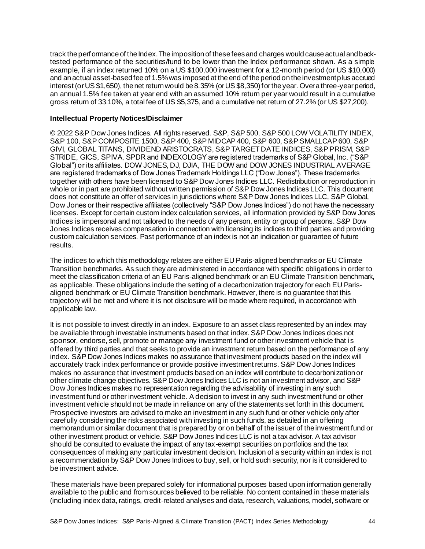track the performance of the Index. The imposition of these fees and charges would cause actual and backtested performance of the securities/fund to be lower than the Index performance shown. As a simple example, if an index returned 10% on a US \$100,000 investment for a 12-month period (or US \$10,000) and an actual asset-based fee of 1.5% was imposed at the end of the period on the investment plus accrued interest (or US \$1,650), the net return would be 8.35% (or US \$8,350) for the year. Over a three-year period, an annual 1.5% fee taken at year end with an assumed 10% return per year would result in a cumulative gross return of 33.10%, a total fee of US \$5,375, and a cumulative net return of 27.2% (or US \$27,200).

### <span id="page-44-0"></span>**Intellectual Property Notices/Disclaimer**

© 2022 S&P Dow Jones Indices. All rights reserved. S&P, S&P 500, S&P 500 LOW VOLATILITY INDEX, S&P 100, S&P COMPOSITE 1500, S&P 400, S&P MIDCAP 400, S&P 600, S&P SMALLCAP 600, S&P GIVI, GLOBAL TITANS, DIVIDEND ARISTOCRATS, S&P TARGET DATE INDICES, S&P PRISM, S&P STRIDE, GICS, SPIVA, SPDR and INDEXOLOGY are registered trademarks of S&P Global, Inc. ("S&P Global") or its affiliates. DOW JONES, DJ, DJIA, THE DOW and DOW JONES INDUSTRIAL AVERAGE are registered trademarks of Dow Jones Trademark Holdings LLC ("Dow Jones"). These trademarks together with others have been licensed to S&P Dow Jones Indices LLC. Redistribution or reproduction in whole or in part are prohibited without written permission of S&P Dow Jones Indices LLC. This document does not constitute an offer of services in jurisdictions where S&P Dow Jones Indices LLC, S&P Global, Dow Jones or their respective affiliates (collectively "S&P Dow Jones Indices") do not have the necessary licenses. Except for certain custom index calculation services, all information provided by S&P Dow Jones Indices is impersonal and not tailored to the needs of any person, entity or group of persons. S&P Dow Jones Indices receives compensation in connection with licensing its indices to third parties and providing custom calculation services. Past performance of an index is not an indication or guarantee of future results.

The indices to which this methodology relates are either EU Paris-aligned benchmarks or EU Climate Transition benchmarks. As such they are administered in accordance with specific obligations in order to meet the classification criteria of an EU Paris-aligned benchmark or an EU Climate Transition benchmark, as applicable. These obligations include the setting of a decarbonization trajectory for each EU Parisaligned benchmark or EU Climate Transition benchmark. However, there is no guarantee that this trajectory will be met and where it is not disclosure will be made where required, in accordance with applicable law.

It is not possible to invest directly in an index. Exposure to an asset class represented by an index may be available through investable instruments based on that index. S&P Dow Jones Indices does not sponsor, endorse, sell, promote or manage any investment fund or other investment vehicle that is offered by third parties and that seeks to provide an investment return based on the performance of any index. S&P Dow Jones Indices makes no assurance that investment products based on the index will accurately track index performance or provide positive investment returns. S&P Dow Jones Indices makes no assurance that investment products based on an index will contribute to decarbonization or other climate change objectives. S&P Dow Jones Indices LLC is not an investment advisor, and S&P Dow Jones Indices makes no representation regarding the advisability of investing in any such investment fund or other investment vehicle. A decision to invest in any such investment fund or other investment vehicle should not be made in reliance on any of the statements set forth in this document. Prospective investors are advised to make an investment in any such fund or other vehicle only after carefully considering the risks associated with investing in such funds, as detailed in an offering memorandum or similar document that is prepared by or on behalf of the issuer of the investment fund or other investment product or vehicle. S&P Dow Jones Indices LLC is not a tax advisor. A tax advisor should be consulted to evaluate the impact of any tax-exempt securities on portfolios and the tax consequences of making any particular investment decision. Inclusion of a security within an index is not a recommendation by S&P Dow Jones Indices to buy, sell, or hold such security, nor is it considered to be investment advice.

These materials have been prepared solely for informational purposes based upon information generally available to the public and from sources believed to be reliable. No content contained in these materials (including index data, ratings, credit-related analyses and data, research, valuations, model, software or